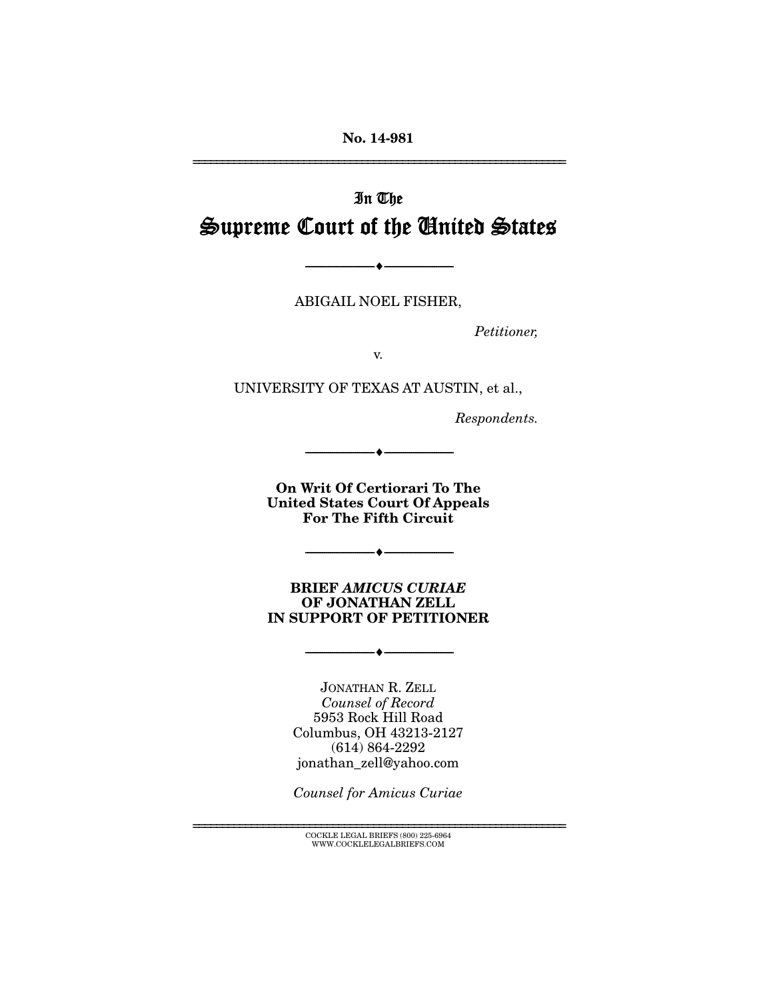**No. 14-981** 

================================================================

# In The Supreme Court of the United States

ABIGAIL NOEL FISHER,

--------------------------------- i ---------------------------------

*Petitioner,* 

v.

UNIVERSITY OF TEXAS AT AUSTIN, et al.,

*Respondents.* 

**On Writ Of Certiorari To The United States Court Of Appeals For The Fifth Circuit** 

--------------------------------- i ---------------------------------

**BRIEF** *AMICUS CURIAE* **OF JONATHAN ZELL IN SUPPORT OF PETITIONER** 

--------------------------------- i ---------------------------------

 $-\!\!\!\!\bullet-\!\!\!\!-\!\!\!-\!\!\!-$ 

JONATHAN R. ZELL *Counsel of Record*  5953 Rock Hill Road Columbus, OH 43213-2127 (614) 864-2292 jonathan\_zell@yahoo.com

*Counsel for Amicus Curiae*

 ${\rm COCKLE}$  LEGAL BRIEFS  $(800)$  225-6964 WWW.COCKLELEGALBRIEFS.COM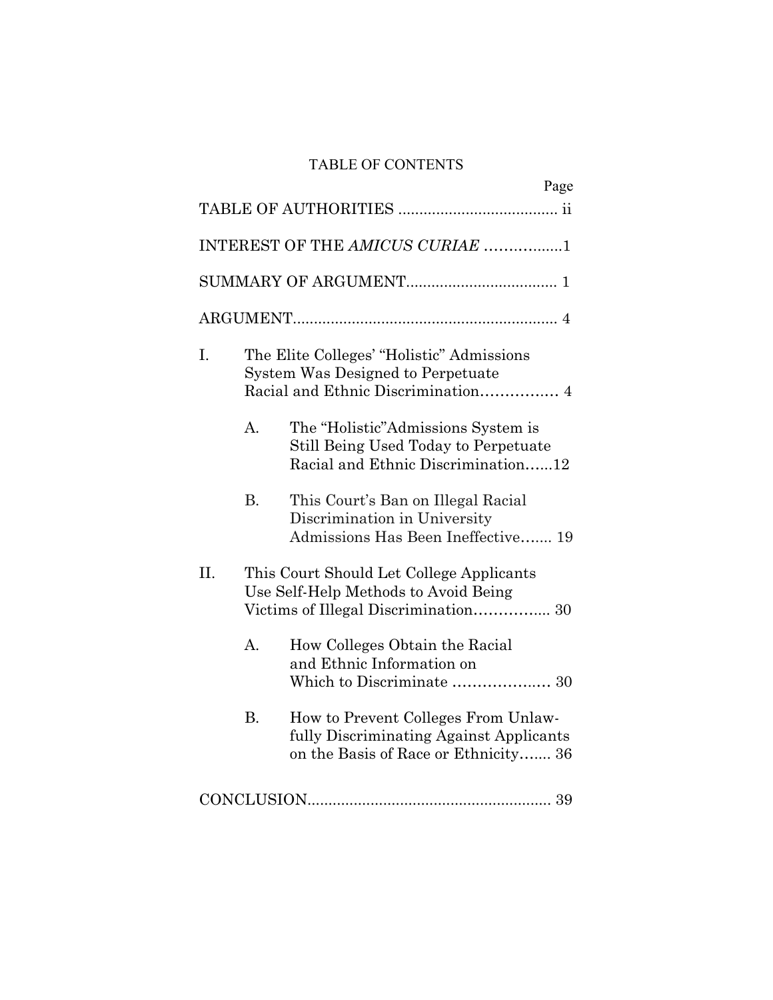# TABLE OF CONTENTS

|                                 |                                                                                  | Page                                                                                                                   |  |
|---------------------------------|----------------------------------------------------------------------------------|------------------------------------------------------------------------------------------------------------------------|--|
|                                 |                                                                                  |                                                                                                                        |  |
| INTEREST OF THE AMICUS CURIAE 1 |                                                                                  |                                                                                                                        |  |
|                                 |                                                                                  |                                                                                                                        |  |
|                                 |                                                                                  |                                                                                                                        |  |
| I.                              |                                                                                  | The Elite Colleges' "Holistic" Admissions<br>System Was Designed to Perpetuate                                         |  |
|                                 | A.                                                                               | The "Holistic"Admissions System is<br>Still Being Used Today to Perpetuate<br>Racial and Ethnic Discrimination12       |  |
|                                 | <b>B.</b>                                                                        | This Court's Ban on Illegal Racial<br>Discrimination in University<br>Admissions Has Been Ineffective 19               |  |
| II.                             | This Court Should Let College Applicants<br>Use Self-Help Methods to Avoid Being |                                                                                                                        |  |
|                                 | A.                                                                               | How Colleges Obtain the Racial<br>and Ethnic Information on                                                            |  |
|                                 | <b>B.</b>                                                                        | How to Prevent Colleges From Unlaw-<br>fully Discriminating Against Applicants<br>on the Basis of Race or Ethnicity 36 |  |
|                                 |                                                                                  |                                                                                                                        |  |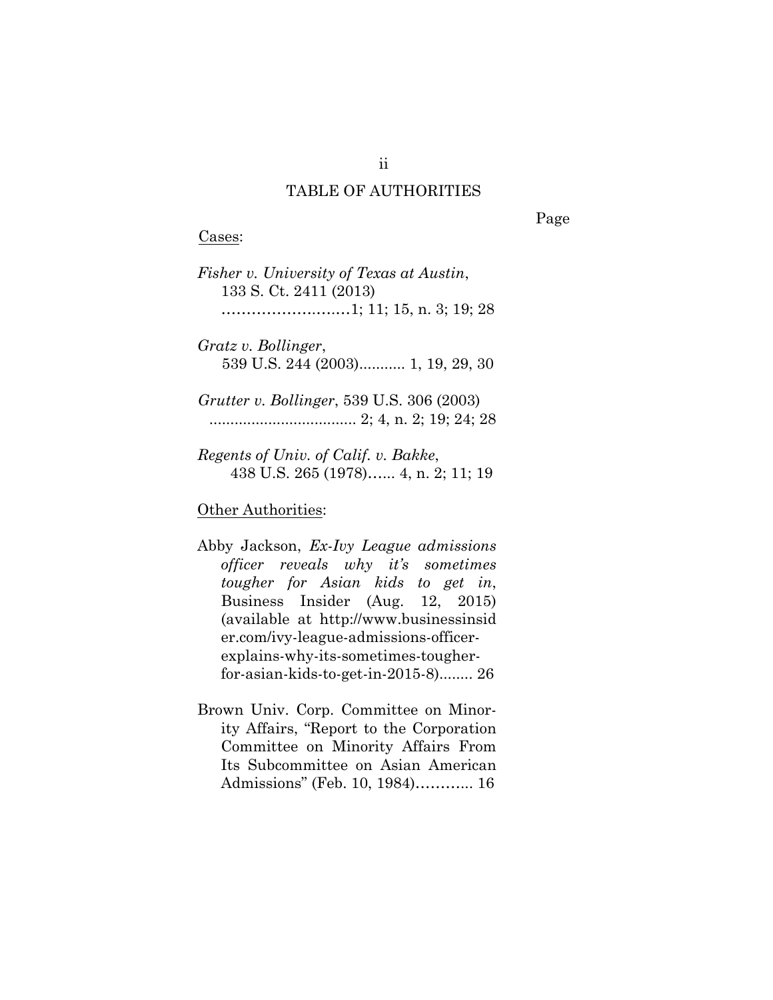#### TABLE OF AUTHORITIES

Cases:

Page

*Fisher v. University of Texas at Austin*, 133 S. Ct. 2411 (2013) ……………….….…1; 11; 15, n. 3; 19; 28

*Gratz v. Bollinger*, 539 U.S. 244 (2003)........... 1, 19, 29, 30

*Grutter v. Bollinger*, 539 U.S. 306 (2003) ................................... 2; 4, n. 2; 19; 24; 28

*Regents of Univ. of Calif. v. Bakke*, 438 U.S. 265 (1978)…... 4, n. 2; 11; 19

#### **Other Authorities:**

- Abby Jackson, *Ex-Ivy League admissions officer reveals why it's sometimes tougher for Asian kids to get in*, Business Insider (Aug. 12, 2015) (available at http://www.businessinsid er.com/ivy-league-admissions-officerexplains-why-its-sometimes-tougherfor-asian-kids-to-get-in-2015-8)........ 26
- Brown Univ. Corp. Committee on Minority Affairs, "Report to the Corporation Committee on Minority Affairs From Its Subcommittee on Asian American Admissions" (Feb. 10, 1984)………... 16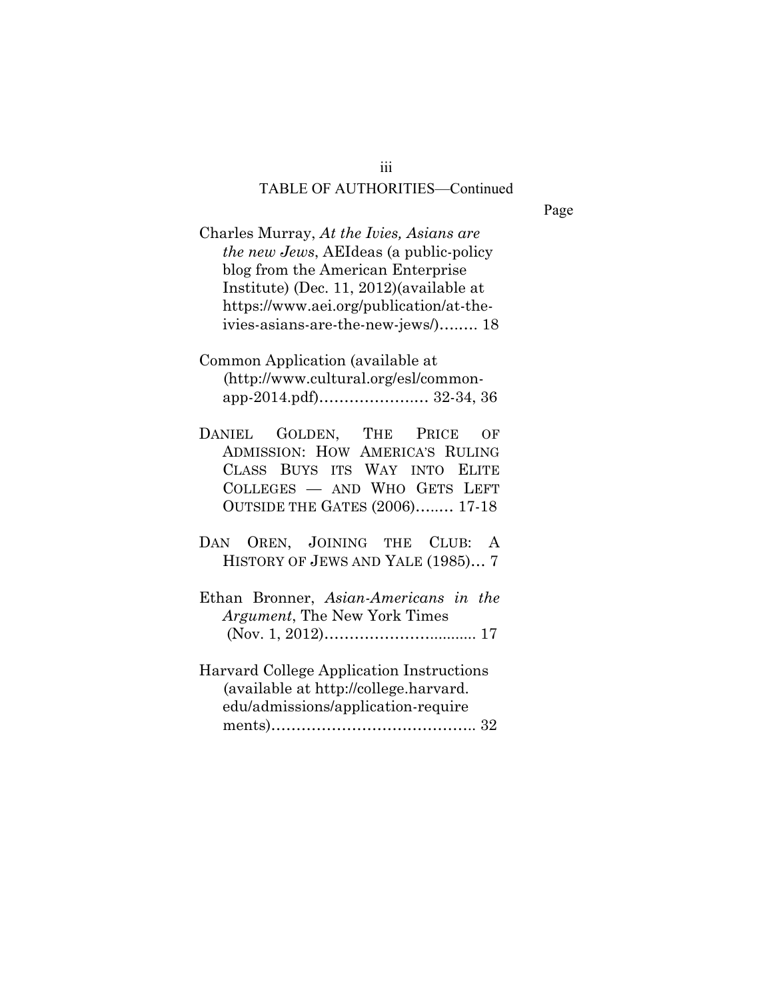Page

Charles Murray, *At the Ivies, Asians are the new Jews*, AEIdeas (a public-policy blog from the American Enterprise Institute) (Dec. 11, 2012)(available at https://www.aei.org/publication/at-theivies-asians-are-the-new-jews/)….…. 18

Common Application (available at (http://www.cultural.org/esl/commonapp-2014.pdf)……………….… 32-34, 36

- DANIEL GOLDEN, THE PRICE OF ADMISSION: HOW AMERICA'S RULING CLASS BUYS ITS WAY INTO ELITE COLLEGES — AND WHO GETS LEFT OUTSIDE THE GATES (2006)…..… 17-18
- DAN OREN, JOINING THE CLUB: A HISTORY OF JEWS AND YALE (1985)… 7
- Ethan Bronner, *Asian-Americans in the Argument*, The New York Times (Nov. 1, 2012)…………………........... 17
- Harvard College Application Instructions (available at http://college.harvard. edu/admissions/application-require ments)………………………………….. 32

iii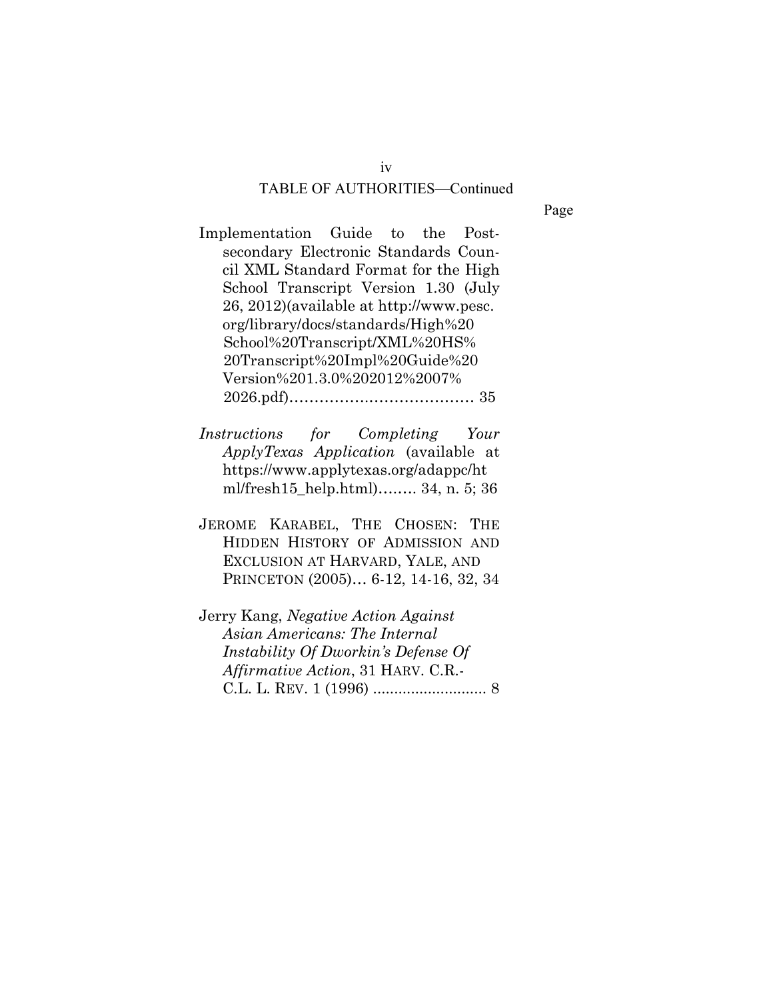Page

Implementation Guide to the Postsecondary Electronic Standards Council XML Standard Format for the High School Transcript Version 1.30 (July 26, 2012)(available at http://www.pesc. org/library/docs/standards/High%20 School%20Transcript/XML%20HS% 20Transcript%20Impl%20Guide%20 Version%201.3.0%202012%2007% 2026.pdf)…………….………………… 35

*Instructions for Completing Your ApplyTexas Application* (available at https://www.applytexas.org/adappc/ht ml/fresh15\_help.html)….…. 34, n. 5; 36

- JEROME KARABEL, THE CHOSEN: THE HIDDEN HISTORY OF ADMISSION AND EXCLUSION AT HARVARD, YALE, AND PRINCETON (2005)… 6-12, 14-16, 32, 34
- Jerry Kang, *Negative Action Against Asian Americans: The Internal Instability Of Dworkin's Defense Of Affirmative Action*, 31 HARV. C.R.- C.L. L. REV. 1 (1996) ........................... 8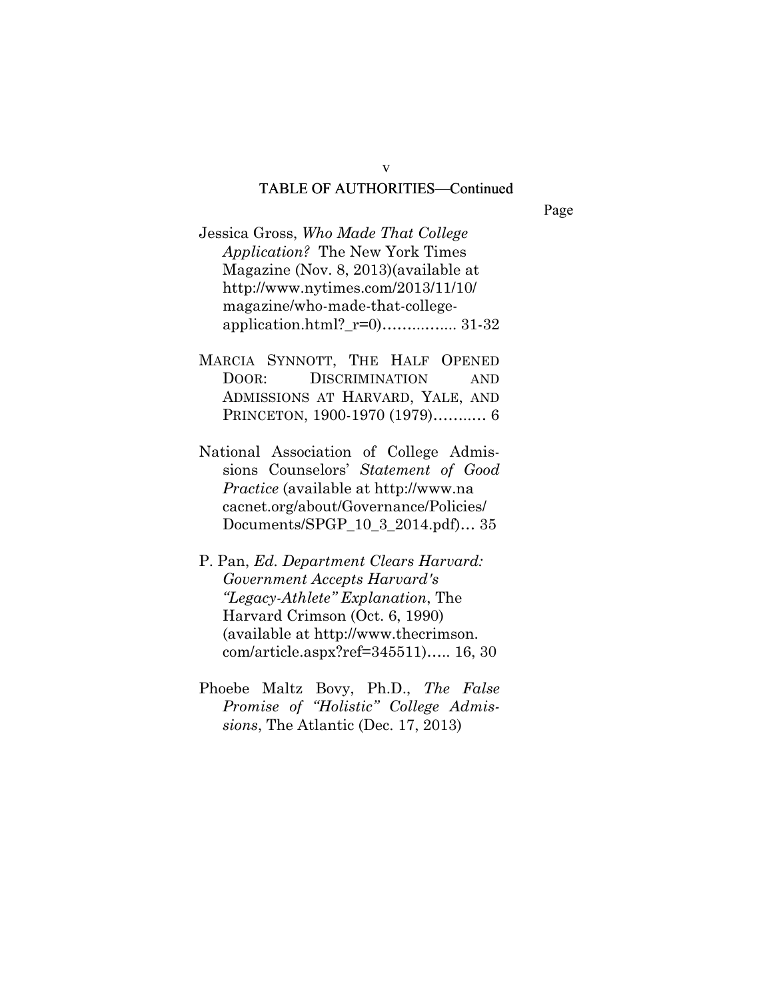Page

- Jessica Gross, *Who Made That College Application?* The New York Times Magazine (Nov. 8, 2013)(available at http://www.nytimes.com/2013/11/10/ magazine/who-made-that-collegeapplication.html?\_r=0)……...….... 31-32
- MARCIA SYNNOTT, THE HALF OPENED DOOR: DISCRIMINATION AND ADMISSIONS AT HARVARD, YALE, AND PRINCETON, 1900-1970 (1979)……..… 6
- National Association of College Admissions Counselors' *Statement of Good Practice* (available at http://www.na cacnet.org/about/Governance/Policies/ Documents/SPGP\_10\_3\_2014.pdf)… 35
- P. Pan, *Ed. Department Clears Harvard: Government Accepts Harvard's "Legacy-Athlete" Explanation*, The Harvard Crimson (Oct. 6, 1990) (available at http://www.thecrimson. com/article.aspx?ref=345511)….. 16, 30
- Phoebe Maltz Bovy, Ph.D., *The False Promise of "Holistic" College Admissions*, The Atlantic (Dec. 17, 2013)

v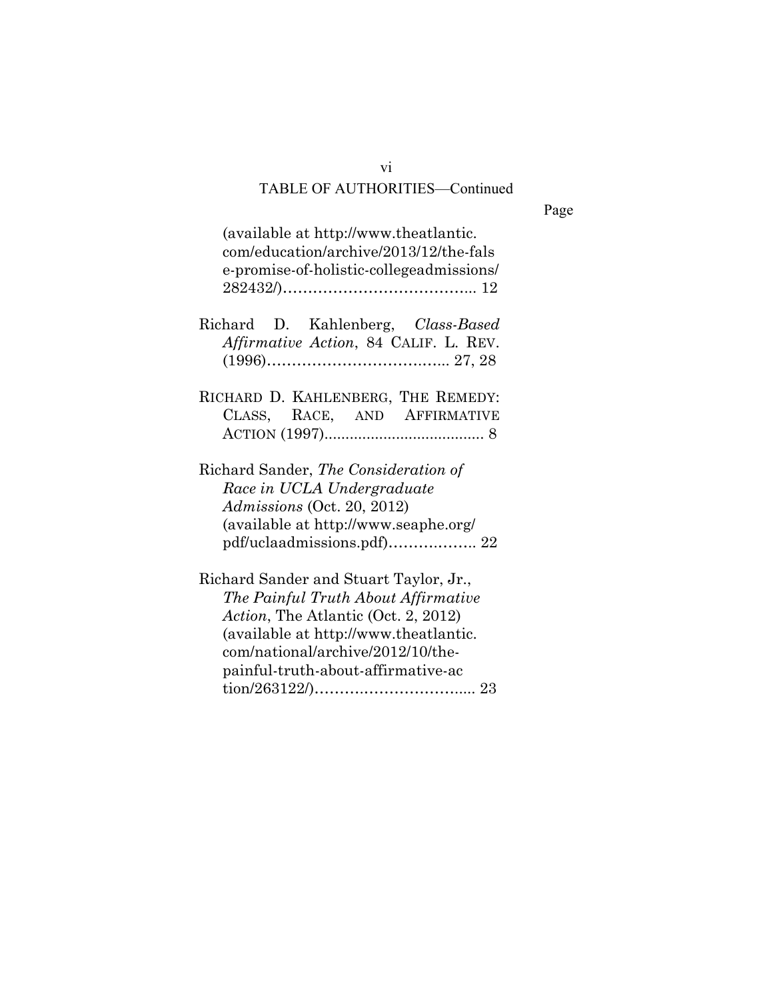Page

| (available at http://www.theatlantic.)<br>com/education/archive/2013/12/the-fals<br>e-promise-of-holistic-collegeadmissions/                                                                                                             |
|------------------------------------------------------------------------------------------------------------------------------------------------------------------------------------------------------------------------------------------|
| Richard D. Kahlenberg, Class-Based<br><i>Affirmative Action</i> , 84 CALIF. L. REV.                                                                                                                                                      |
| RICHARD D. KAHLENBERG, THE REMEDY:<br>CLASS, RACE, AND AFFIRMATIVE                                                                                                                                                                       |
| Richard Sander, The Consideration of<br>Race in UCLA Undergraduate<br>Admissions (Oct. 20, 2012)<br>(available at http://www.seaphe.org/                                                                                                 |
| Richard Sander and Stuart Taylor, Jr.,<br>The Painful Truth About Affirmative<br>Action, The Atlantic (Oct. 2, 2012)<br>(available at http://www.theatlantic.<br>com/national/archive/2012/10/the-<br>painful-truth-about-affirmative-ac |

vi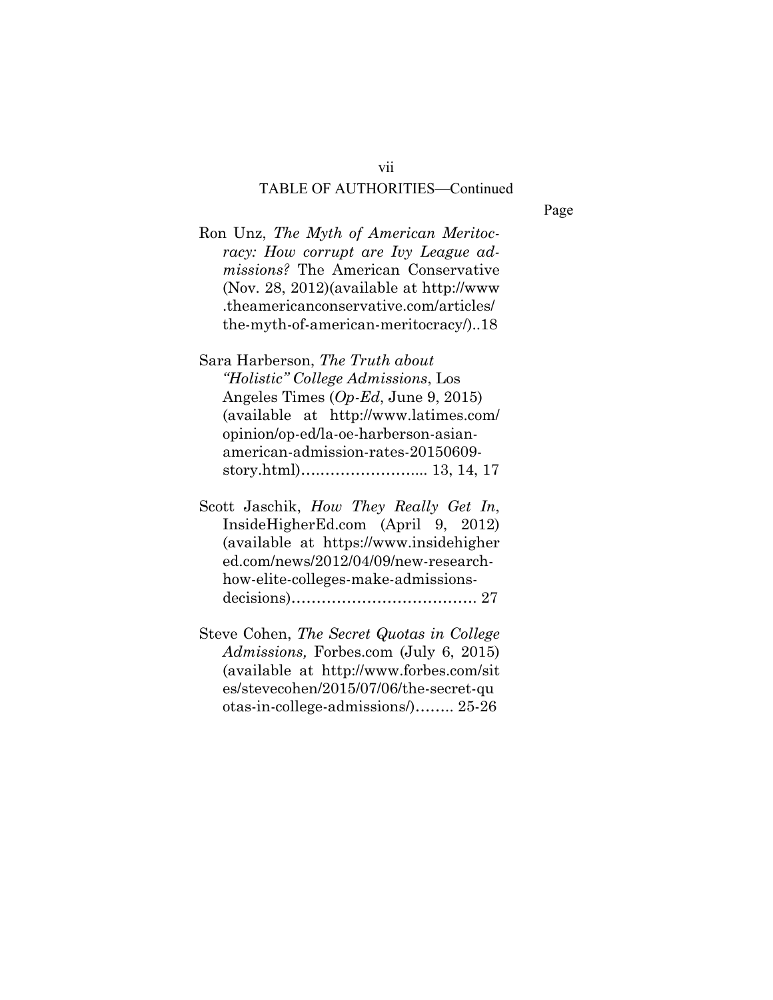Page

Ron Unz, *The Myth of American Meritocracy: How corrupt are Ivy League admissions?* The American Conservative (Nov. 28, 2012)(available at http://www .theamericanconservative.com/articles/ the-myth-of-american-meritocracy/)..18

Sara Harberson, *The Truth about "Holistic" College Admissions*, Los Angeles Times (*Op-Ed*, June 9, 2015) (available at http://www.latimes.com/ opinion/op-ed/la-oe-harberson-asianamerican-admission-rates-20150609 story.html)….……………….... 13, 14, 17

- Scott Jaschik, *How They Really Get In*, InsideHigherEd.com (April 9, 2012) (available at https://www.insidehigher ed.com/news/2012/04/09/new-researchhow-elite-colleges-make-admissionsdecisions)………………………………. 27
- Steve Cohen, *The Secret Quotas in College Admissions,* Forbes.com (July 6, 2015) (available at http://www.forbes.com/sit es/stevecohen/2015/07/06/the-secret-qu otas-in-college-admissions/)…….. 25-26

vii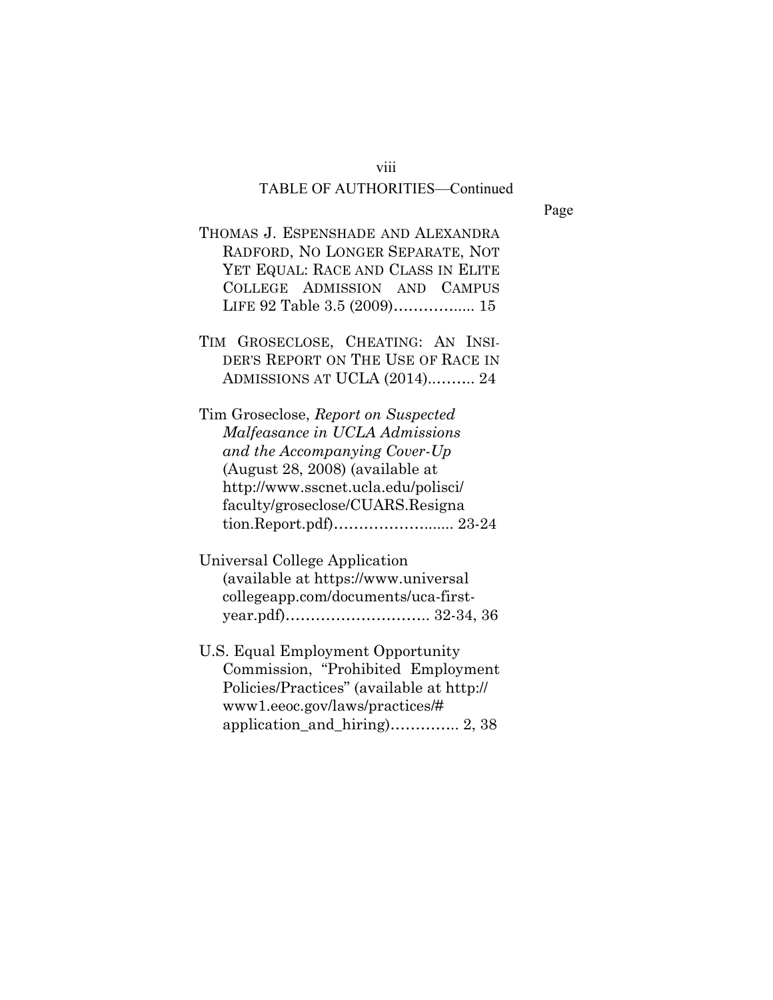#### viii

### TABLE OF AUTHORITIES—Continued

Page

- THOMAS J. ESPENSHADE AND ALEXANDRA RADFORD, NO LONGER SEPARATE, NOT YET EQUAL: RACE AND CLASS IN ELITE COLLEGE ADMISSION AND CAMPUS LIFE 92 Table 3.5 (2009)…………..... 15
- TIM GROSECLOSE, CHEATING: AN INSI-DER'S REPORT ON THE USE OF RACE IN ADMISSIONS AT UCLA (2014)..…….. 24

Tim Groseclose, *Report on Suspected Malfeasance in UCLA Admissions and the Accompanying Cover-Up*  (August 28, 2008) (available at http://www.sscnet.ucla.edu/polisci/ faculty/groseclose/CUARS.Resigna tion.Report.pdf)………………....... 23-24

Universal College Application (available at https://www.universal collegeapp.com/documents/uca-firstyear.pdf)……………………….. 32-34, 36

U.S. Equal Employment Opportunity Commission, "Prohibited Employment Policies/Practices" (available at http:// www1.eeoc.gov/laws/practices/# application\_and\_hiring)………….. 2, 38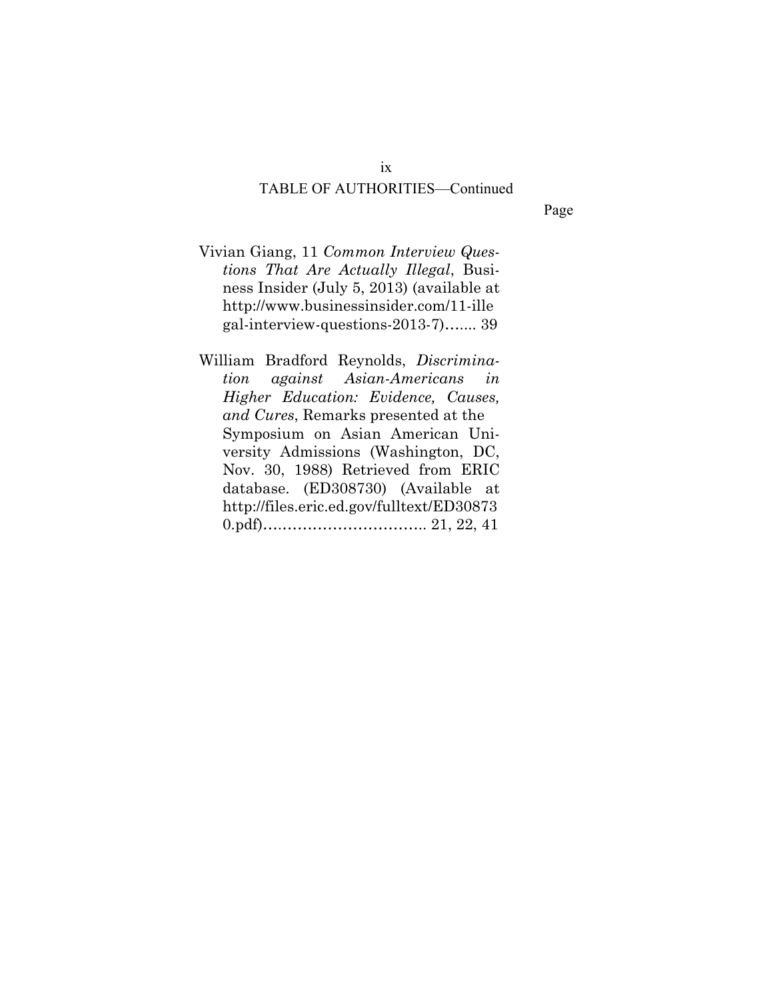Page

- Vivian Giang, 11 *Common Interview Questions That Are Actually Illegal*, Business Insider (July 5, 2013) (available at http://www.businessinsider.com/11-ille gal-interview-questions-2013-7)….... 39
- William Bradford Reynolds, *Discrimination against Asian-Americans in Higher Education: Evidence, Causes, and Cures*, Remarks presented at the Symposium on Asian American University Admissions (Washington, DC, Nov. 30, 1988) Retrieved from ERIC database. (ED308730) (Available at http://files.eric.ed.gov/fulltext/ED30873 0.pdf)….……………………….. 21, 22, 41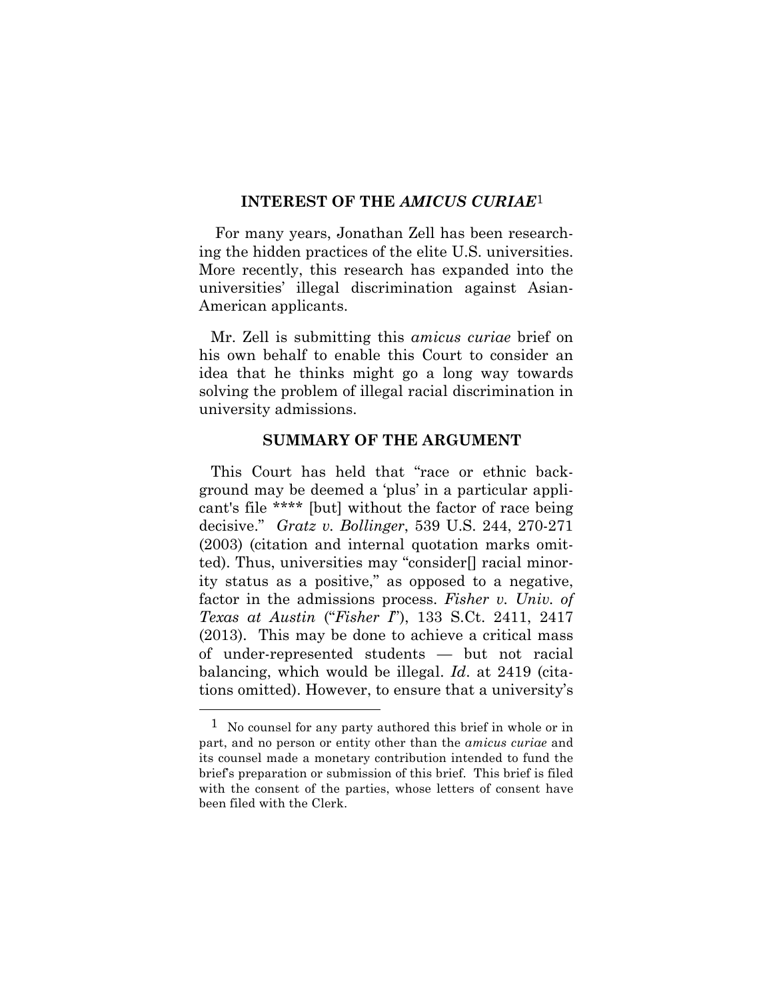#### **INTEREST OF THE** *AMICUS CURIAE*1

For many years, Jonathan Zell has been researching the hidden practices of the elite U.S. universities. More recently, this research has expanded into the universities' illegal discrimination against Asian-American applicants.

Mr. Zell is submitting this *amicus curiae* brief on his own behalf to enable this Court to consider an idea that he thinks might go a long way towards solving the problem of illegal racial discrimination in university admissions.

### **SUMMARY OF THE ARGUMENT**

This Court has held that "race or ethnic background may be deemed a 'plus' in a particular applicant's file \*\*\*\* [but] without the factor of race being decisive." *Gratz v. Bollinger*, 539 U.S. 244, 270-271 (2003) (citation and internal quotation marks omitted). Thus, universities may "consider[] racial minority status as a positive," as opposed to a negative, factor in the admissions process. *Fisher v. Univ. of Texas at Austin* ("*Fisher I*"), 133 S.Ct. 2411, 2417 (2013). This may be done to achieve a critical mass of under-represented students — but not racial balancing, which would be illegal. *Id*. at 2419 (citations omitted). However, to ensure that a university's

 $\overline{a}$ 

 $1$  No counsel for any party authored this brief in whole or in part, and no person or entity other than the *amicus curiae* and its counsel made a monetary contribution intended to fund the brief's preparation or submission of this brief. This brief is filed with the consent of the parties, whose letters of consent have been filed with the Clerk.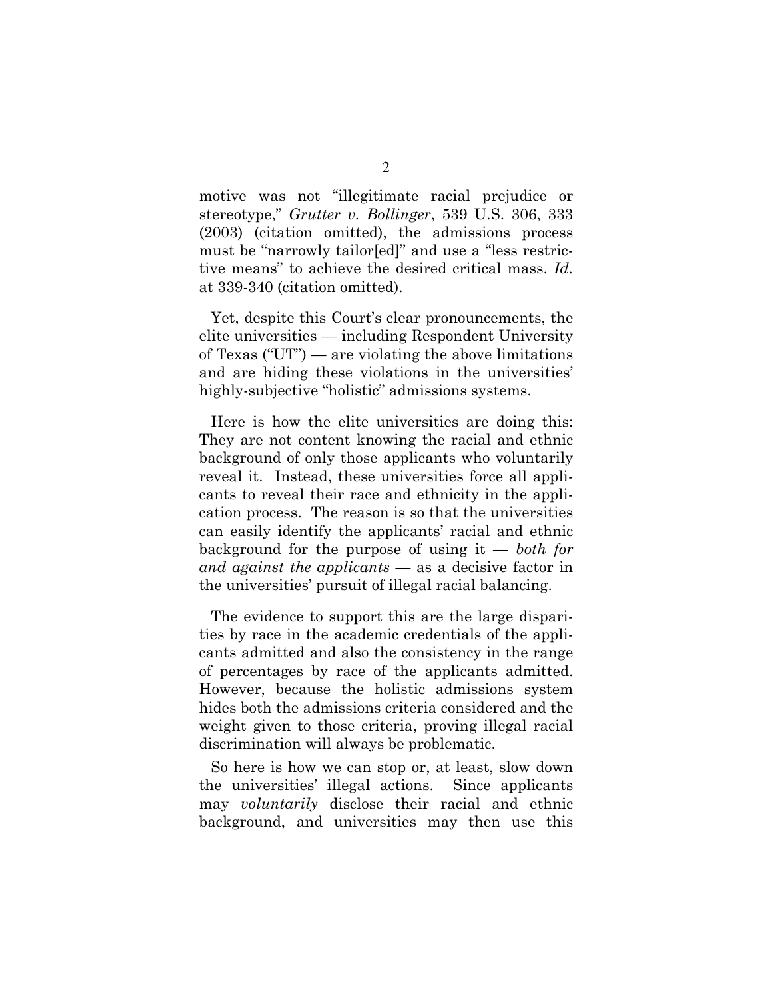motive was not "illegitimate racial prejudice or stereotype," *Grutter v. Bollinger*, 539 U.S. 306, 333 (2003) (citation omitted), the admissions process must be "narrowly tailor[ed]" and use a "less restrictive means" to achieve the desired critical mass. *Id.* at 339-340 (citation omitted).

Yet, despite this Court's clear pronouncements, the elite universities — including Respondent University of Texas ("UT") — are violating the above limitations and are hiding these violations in the universities' highly-subjective "holistic" admissions systems.

Here is how the elite universities are doing this: They are not content knowing the racial and ethnic background of only those applicants who voluntarily reveal it. Instead, these universities force all applicants to reveal their race and ethnicity in the application process. The reason is so that the universities can easily identify the applicants' racial and ethnic background for the purpose of using it — *both for and against the applicants* — as a decisive factor in the universities' pursuit of illegal racial balancing.

The evidence to support this are the large disparities by race in the academic credentials of the applicants admitted and also the consistency in the range of percentages by race of the applicants admitted. However, because the holistic admissions system hides both the admissions criteria considered and the weight given to those criteria, proving illegal racial discrimination will always be problematic.

So here is how we can stop or, at least, slow down the universities' illegal actions. Since applicants may *voluntarily* disclose their racial and ethnic background, and universities may then use this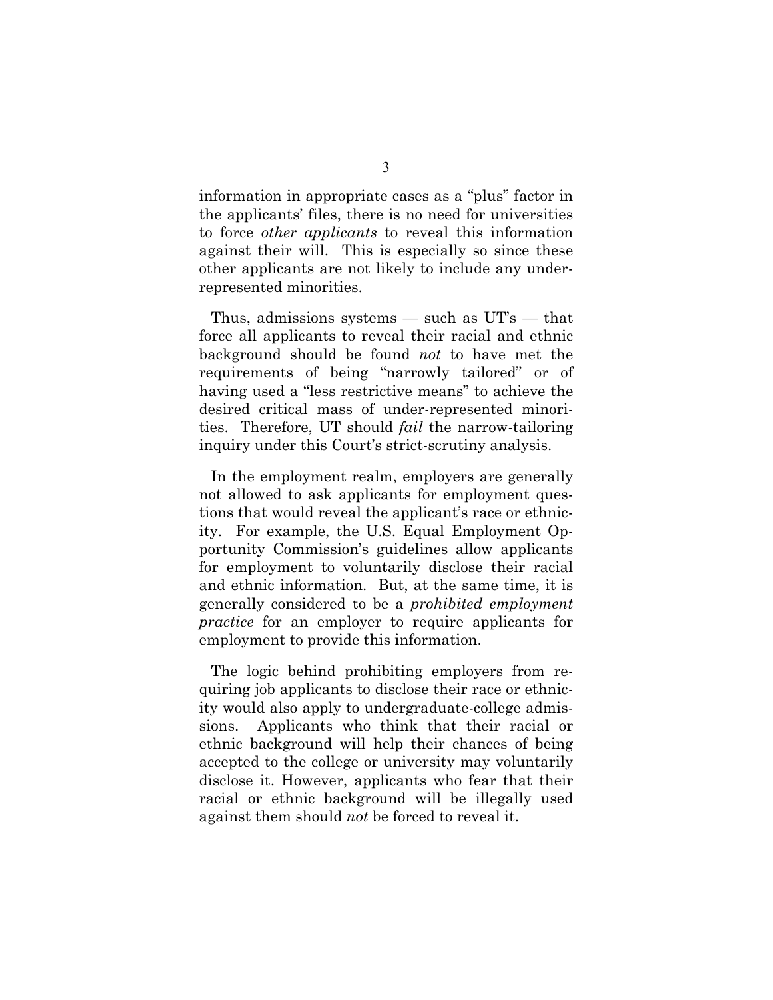information in appropriate cases as a "plus" factor in the applicants' files, there is no need for universities to force *other applicants* to reveal this information against their will. This is especially so since these other applicants are not likely to include any underrepresented minorities.

Thus, admissions systems — such as UT's — that force all applicants to reveal their racial and ethnic background should be found *not* to have met the requirements of being "narrowly tailored" or of having used a "less restrictive means" to achieve the desired critical mass of under-represented minorities. Therefore, UT should *fail* the narrow-tailoring inquiry under this Court's strict-scrutiny analysis.

In the employment realm, employers are generally not allowed to ask applicants for employment questions that would reveal the applicant's race or ethnicity. For example, the U.S. Equal Employment Opportunity Commission's guidelines allow applicants for employment to voluntarily disclose their racial and ethnic information. But, at the same time, it is generally considered to be a *prohibited employment practice* for an employer to require applicants for employment to provide this information.

The logic behind prohibiting employers from requiring job applicants to disclose their race or ethnicity would also apply to undergraduate-college admissions. Applicants who think that their racial or ethnic background will help their chances of being accepted to the college or university may voluntarily disclose it. However, applicants who fear that their racial or ethnic background will be illegally used against them should *not* be forced to reveal it.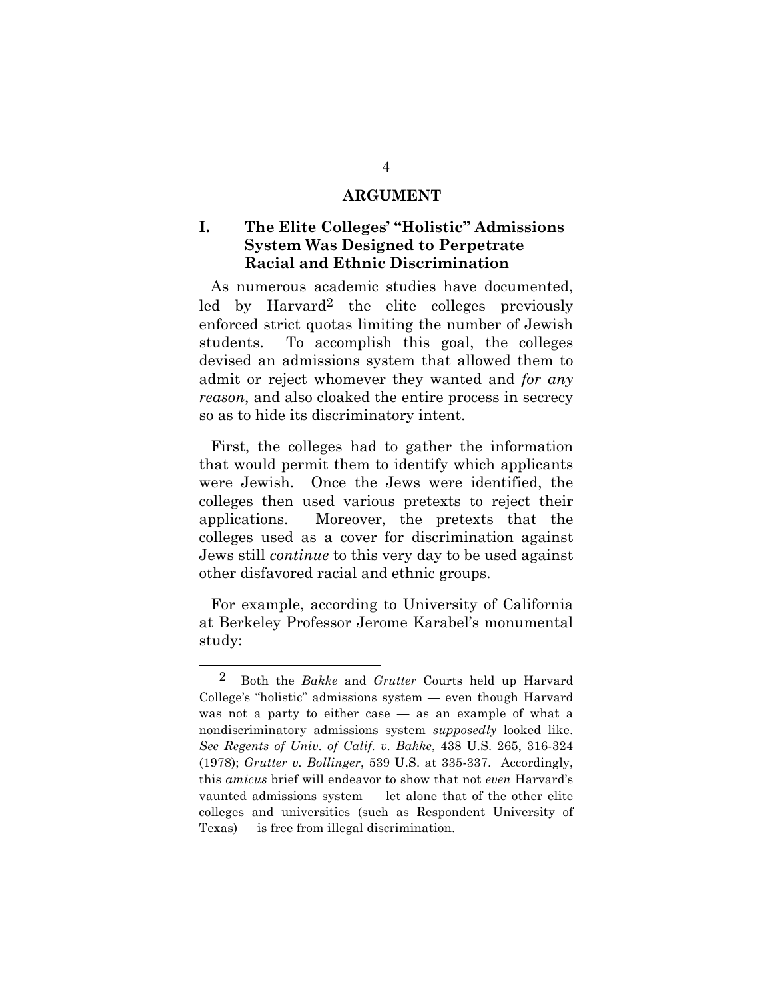### **ARGUMENT**

# **I. The Elite Colleges' "Holistic" Admissions System Was Designed to Perpetrate Racial and Ethnic Discrimination**

As numerous academic studies have documented, led by Harvard2 the elite colleges previously enforced strict quotas limiting the number of Jewish students. To accomplish this goal, the colleges devised an admissions system that allowed them to admit or reject whomever they wanted and *for any reason*, and also cloaked the entire process in secrecy so as to hide its discriminatory intent.

First, the colleges had to gather the information that would permit them to identify which applicants were Jewish. Once the Jews were identified, the colleges then used various pretexts to reject their applications. Moreover, the pretexts that the colleges used as a cover for discrimination against Jews still *continue* to this very day to be used against other disfavored racial and ethnic groups.

For example, according to University of California at Berkeley Professor Jerome Karabel's monumental study:

 $\overline{a}$ 

2 Both the *Bakke* and *Grutter* Courts held up Harvard College's "holistic" admissions system — even though Harvard was not a party to either case — as an example of what a nondiscriminatory admissions system *supposedly* looked like. *See Regents of Univ. of Calif. v. Bakke*, 438 U.S. 265, 316-324 (1978); *Grutter v. Bollinger*, 539 U.S. at 335-337. Accordingly, this *amicus* brief will endeavor to show that not *even* Harvard's vaunted admissions system — let alone that of the other elite colleges and universities (such as Respondent University of Texas) — is free from illegal discrimination.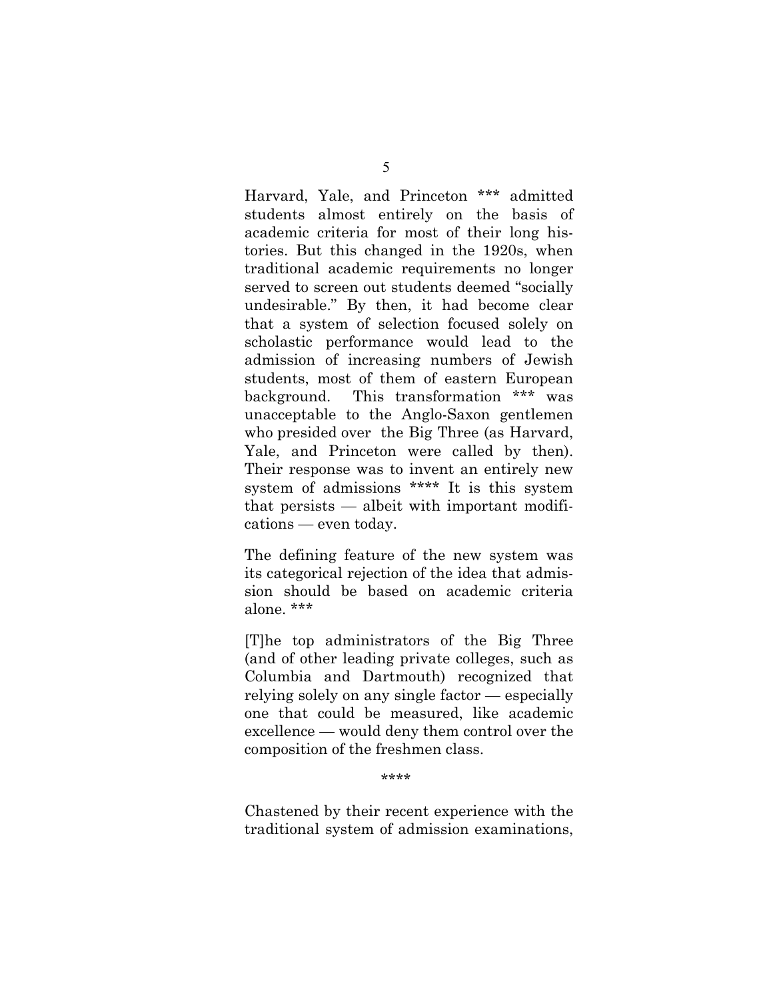Harvard, Yale, and Princeton \*\*\* admitted students almost entirely on the basis of academic criteria for most of their long histories. But this changed in the 1920s, when traditional academic requirements no longer served to screen out students deemed "socially undesirable." By then, it had become clear that a system of selection focused solely on scholastic performance would lead to the admission of increasing numbers of Jewish students, most of them of eastern European background. This transformation \*\*\* was unacceptable to the Anglo-Saxon gentlemen who presided over the Big Three (as Harvard, Yale, and Princeton were called by then). Their response was to invent an entirely new system of admissions \*\*\*\* It is this system that persists — albeit with important modifications — even today.

The defining feature of the new system was its categorical rejection of the idea that admission should be based on academic criteria alone. \*\*\*

[T]he top administrators of the Big Three (and of other leading private colleges, such as Columbia and Dartmouth) recognized that relying solely on any single factor — especially one that could be measured, like academic excellence — would deny them control over the composition of the freshmen class.

\*\*\*\*

Chastened by their recent experience with the traditional system of admission examinations,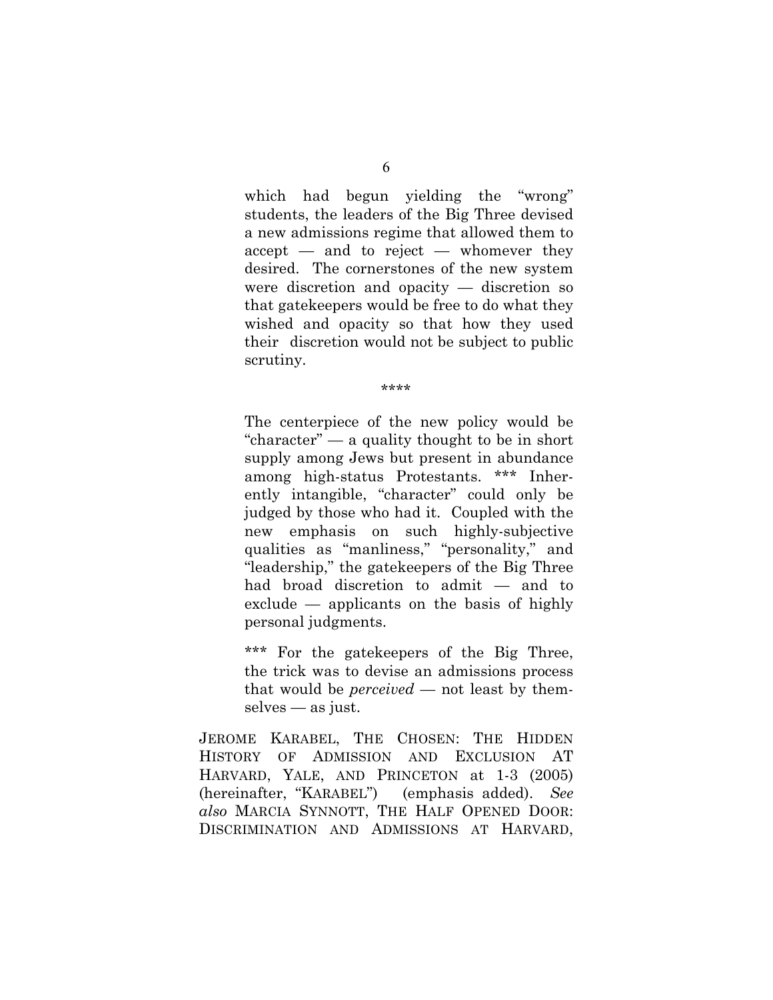which had begun yielding the "wrong" students, the leaders of the Big Three devised a new admissions regime that allowed them to  $accept$  — and to reject — whomever they desired. The cornerstones of the new system were discretion and opacity — discretion so that gatekeepers would be free to do what they wished and opacity so that how they used their discretion would not be subject to public scrutiny.

\*\*\*\*

The centerpiece of the new policy would be "character" — a quality thought to be in short supply among Jews but present in abundance among high-status Protestants. \*\*\* Inherently intangible, "character" could only be judged by those who had it. Coupled with the new emphasis on such highly-subjective qualities as "manliness," "personality," and "leadership," the gatekeepers of the Big Three had broad discretion to admit — and to exclude — applicants on the basis of highly personal judgments.

\*\*\* For the gatekeepers of the Big Three, the trick was to devise an admissions process that would be *perceived* — not least by themselves — as just.

JEROME KARABEL, THE CHOSEN: THE HIDDEN HISTORY OF ADMISSION AND EXCLUSION AT HARVARD, YALE, AND PRINCETON at 1-3 (2005) (hereinafter, "KARABEL") (emphasis added). *See also* MARCIA SYNNOTT, THE HALF OPENED DOOR: DISCRIMINATION AND ADMISSIONS AT HARVARD,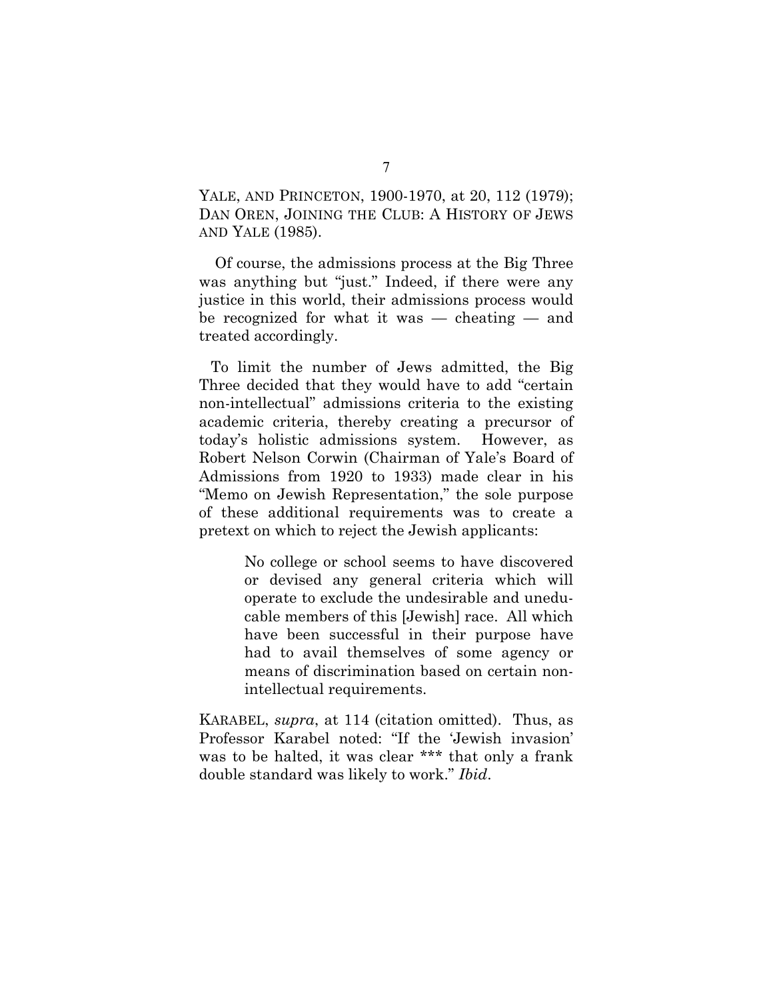YALE, AND PRINCETON, 1900-1970, at 20, 112 (1979); DAN OREN, JOINING THE CLUB: A HISTORY OF JEWS AND YALE (1985).

Of course, the admissions process at the Big Three was anything but "just." Indeed, if there were any justice in this world, their admissions process would be recognized for what it was — cheating — and treated accordingly.

To limit the number of Jews admitted, the Big Three decided that they would have to add "certain non-intellectual" admissions criteria to the existing academic criteria, thereby creating a precursor of today's holistic admissions system. However, as Robert Nelson Corwin (Chairman of Yale's Board of Admissions from 1920 to 1933) made clear in his "Memo on Jewish Representation," the sole purpose of these additional requirements was to create a pretext on which to reject the Jewish applicants:

> No college or school seems to have discovered or devised any general criteria which will operate to exclude the undesirable and uneducable members of this [Jewish] race. All which have been successful in their purpose have had to avail themselves of some agency or means of discrimination based on certain nonintellectual requirements.

KARABEL, *supra*, at 114 (citation omitted). Thus, as Professor Karabel noted: "If the 'Jewish invasion' was to be halted, it was clear \*\*\* that only a frank double standard was likely to work." *Ibid*.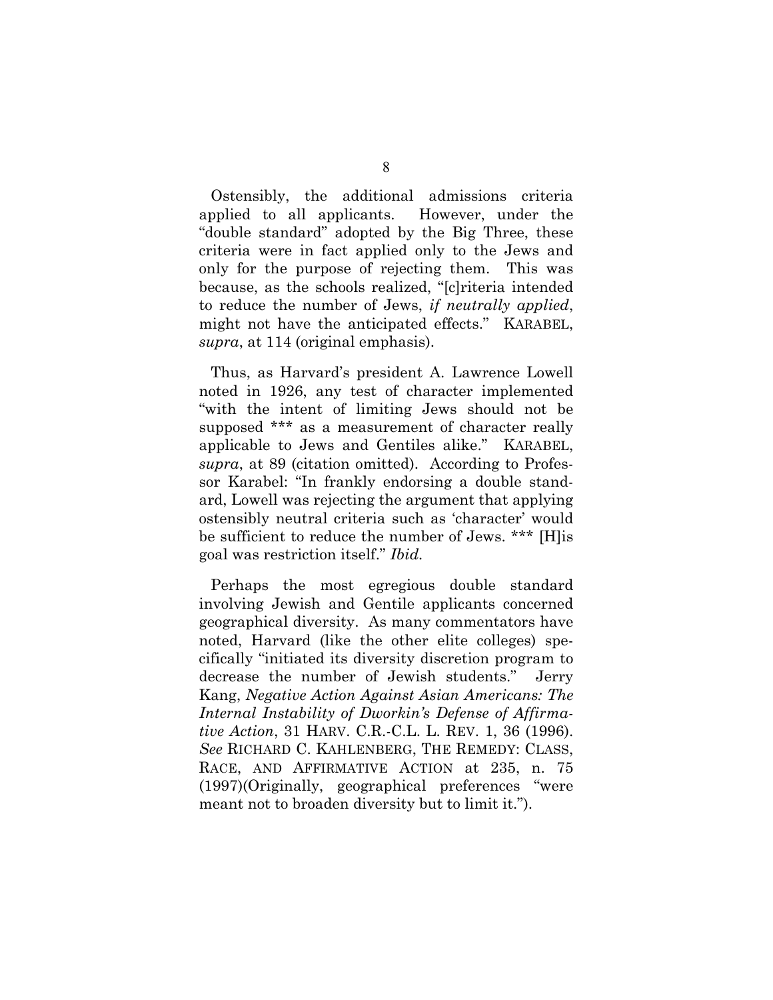Ostensibly, the additional admissions criteria applied to all applicants. However, under the "double standard" adopted by the Big Three, these criteria were in fact applied only to the Jews and only for the purpose of rejecting them. This was because, as the schools realized, "[c]riteria intended to reduce the number of Jews, *if neutrally applied*, might not have the anticipated effects." KARABEL, *supra*, at 114 (original emphasis).

Thus, as Harvard's president A. Lawrence Lowell noted in 1926, any test of character implemented "with the intent of limiting Jews should not be supposed \*\*\* as a measurement of character really applicable to Jews and Gentiles alike." KARABEL, *supra*, at 89 (citation omitted). According to Professor Karabel: "In frankly endorsing a double standard, Lowell was rejecting the argument that applying ostensibly neutral criteria such as 'character' would be sufficient to reduce the number of Jews. \*\*\* [H]is goal was restriction itself." *Ibid.*

Perhaps the most egregious double standard involving Jewish and Gentile applicants concerned geographical diversity. As many commentators have noted, Harvard (like the other elite colleges) specifically "initiated its diversity discretion program to decrease the number of Jewish students." Jerry Kang, *Negative Action Against Asian Americans: The Internal Instability of Dworkin's Defense of Affirmative Action*, 31 HARV. C.R.-C.L. L. REV. 1, 36 (1996). *See* RICHARD C. KAHLENBERG, THE REMEDY: CLASS, RACE, AND AFFIRMATIVE ACTION at 235, n. 75 (1997)(Originally, geographical preferences "were meant not to broaden diversity but to limit it.").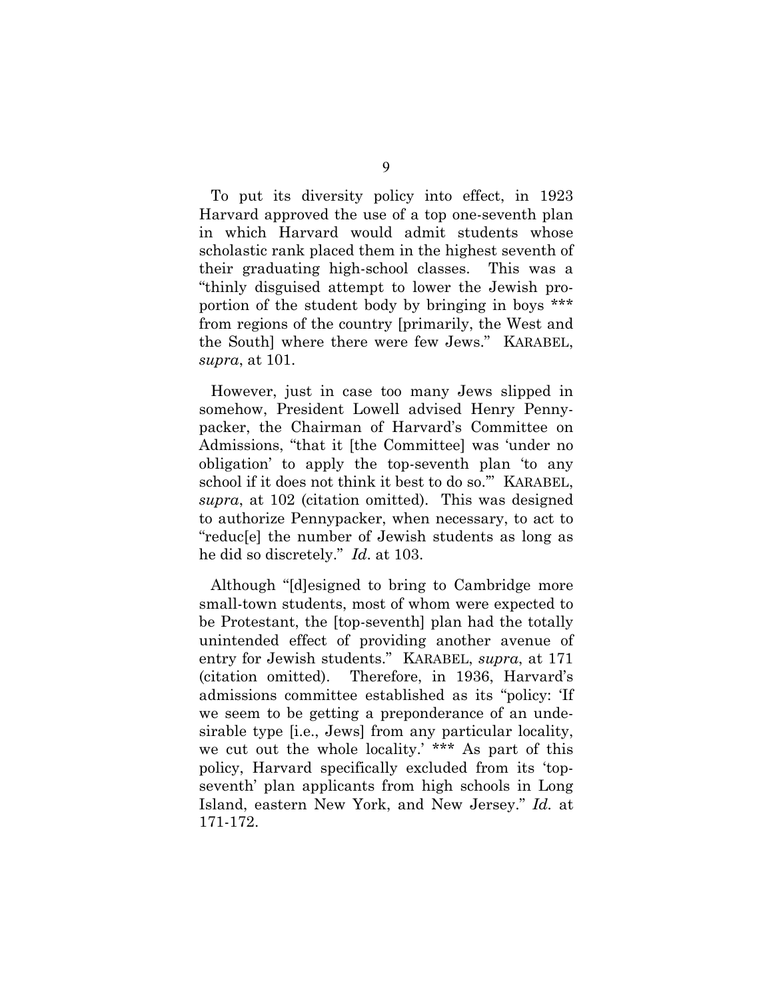To put its diversity policy into effect, in 1923 Harvard approved the use of a top one-seventh plan in which Harvard would admit students whose scholastic rank placed them in the highest seventh of their graduating high-school classes. This was a "thinly disguised attempt to lower the Jewish proportion of the student body by bringing in boys \*\*\* from regions of the country [primarily, the West and the South] where there were few Jews." KARABEL, *supra*, at 101.

However, just in case too many Jews slipped in somehow, President Lowell advised Henry Pennypacker, the Chairman of Harvard's Committee on Admissions, "that it [the Committee] was 'under no obligation' to apply the top-seventh plan 'to any school if it does not think it best to do so.'" KARABEL, *supra*, at 102 (citation omitted). This was designed to authorize Pennypacker, when necessary, to act to "reduc[e] the number of Jewish students as long as he did so discretely." *Id*. at 103.

Although "[d]esigned to bring to Cambridge more small-town students, most of whom were expected to be Protestant, the [top-seventh] plan had the totally unintended effect of providing another avenue of entry for Jewish students." KARABEL, *supra*, at 171 (citation omitted). Therefore, in 1936, Harvard's admissions committee established as its "policy: 'If we seem to be getting a preponderance of an undesirable type [i.e., Jews] from any particular locality, we cut out the whole locality.' \*\*\* As part of this policy, Harvard specifically excluded from its 'topseventh' plan applicants from high schools in Long Island, eastern New York, and New Jersey." *Id.* at 171-172.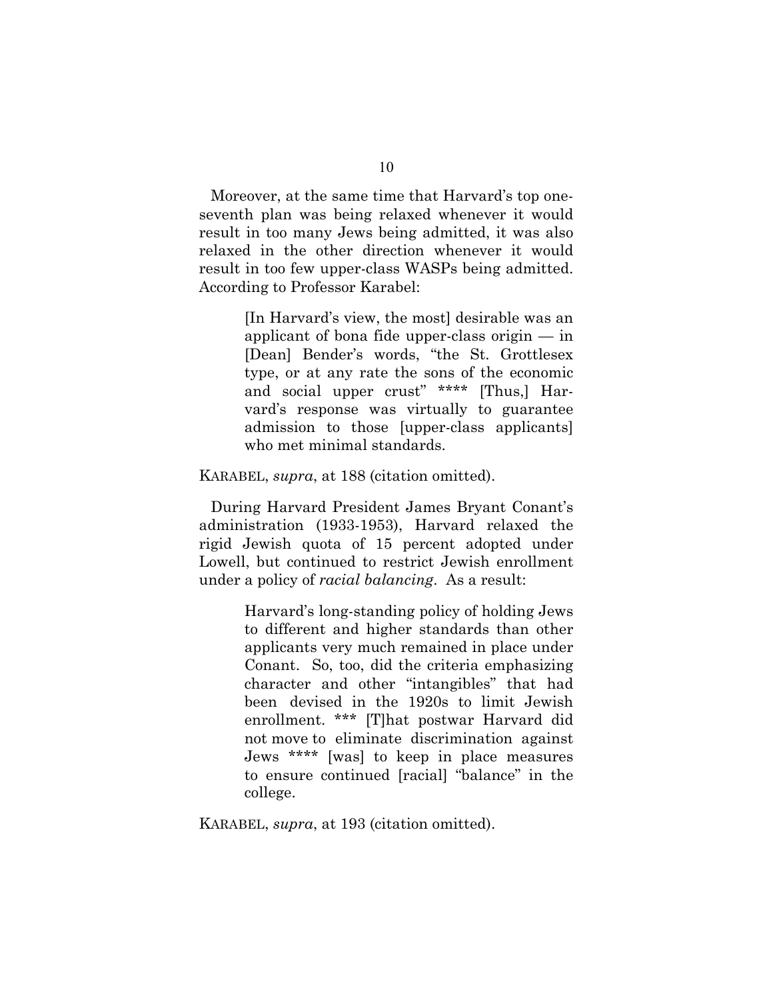Moreover, at the same time that Harvard's top oneseventh plan was being relaxed whenever it would result in too many Jews being admitted, it was also relaxed in the other direction whenever it would result in too few upper-class WASPs being admitted. According to Professor Karabel:

> [In Harvard's view, the most] desirable was an applicant of bona fide upper-class origin — in [Dean] Bender's words, "the St. Grottlesex type, or at any rate the sons of the economic and social upper crust" \*\*\*\* [Thus,] Harvard's response was virtually to guarantee admission to those [upper-class applicants] who met minimal standards.

KARABEL, *supra*, at 188 (citation omitted).

During Harvard President James Bryant Conant's administration (1933-1953), Harvard relaxed the rigid Jewish quota of 15 percent adopted under Lowell, but continued to restrict Jewish enrollment under a policy of *racial balancing*. As a result:

> Harvard's long-standing policy of holding Jews to different and higher standards than other applicants very much remained in place under Conant. So, too, did the criteria emphasizing character and other "intangibles" that had been devised in the 1920s to limit Jewish enrollment. \*\*\* [T]hat postwar Harvard did not move to eliminate discrimination against Jews \*\*\*\* [was] to keep in place measures to ensure continued [racial] "balance" in the college.

KARABEL, *supra*, at 193 (citation omitted).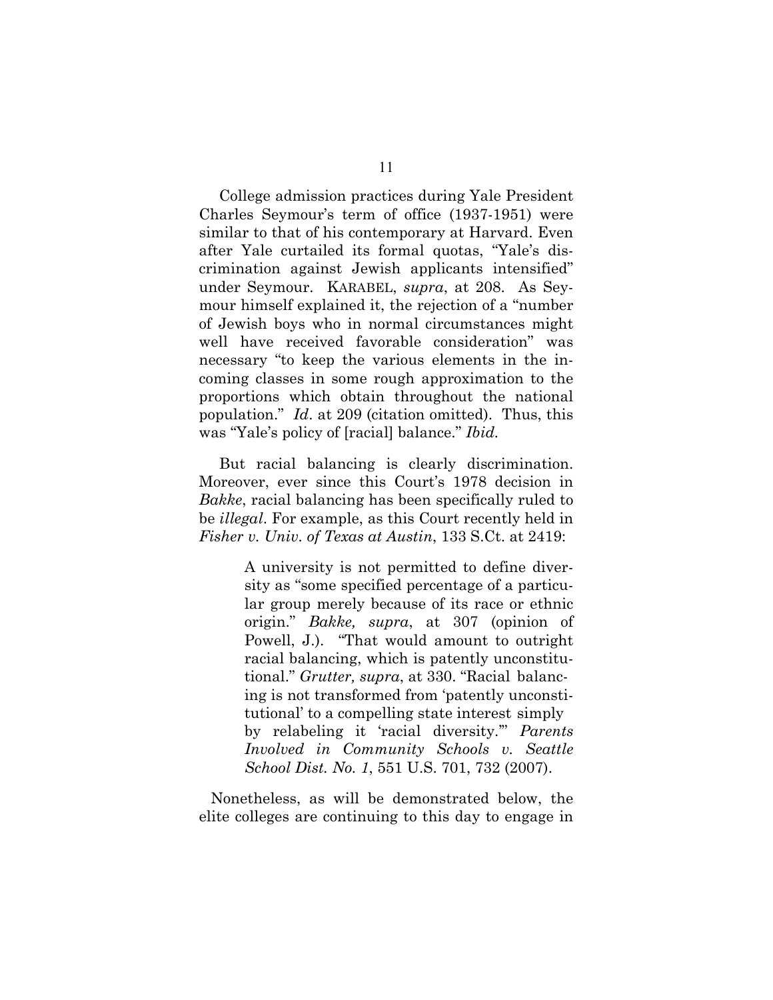College admission practices during Yale President Charles Seymour's term of office (1937-1951) were similar to that of his contemporary at Harvard. Even after Yale curtailed its formal quotas, "Yale's discrimination against Jewish applicants intensified" under Seymour. KARABEL, *supra*, at 208. As Seymour himself explained it, the rejection of a "number of Jewish boys who in normal circumstances might well have received favorable consideration" was necessary "to keep the various elements in the incoming classes in some rough approximation to the proportions which obtain throughout the national population." *Id*. at 209 (citation omitted). Thus, this was "Yale's policy of [racial] balance." *Ibid.*

 But racial balancing is clearly discrimination. Moreover, ever since this Court's 1978 decision in *Bakke*, racial balancing has been specifically ruled to be *illegal*. For example, as this Court recently held in *Fisher v. Univ. of Texas at Austin*, 133 S.Ct. at 2419:

> A university is not permitted to define diversity as "some specified percentage of a particular group merely because of its race or ethnic origin." *Bakke, supra*, at 307 (opinion of Powell, J.). "That would amount to outright racial balancing, which is patently unconstitutional." *Grutter, supra*, at 330. "Racial balancing is not transformed from 'patently unconstitutional' to a compelling state interest simply by relabeling it 'racial diversity.'" *Parents Involved in Community Schools v. Seattle School Dist. No. 1*, 551 U.S. 701, 732 (2007).

Nonetheless, as will be demonstrated below, the elite colleges are continuing to this day to engage in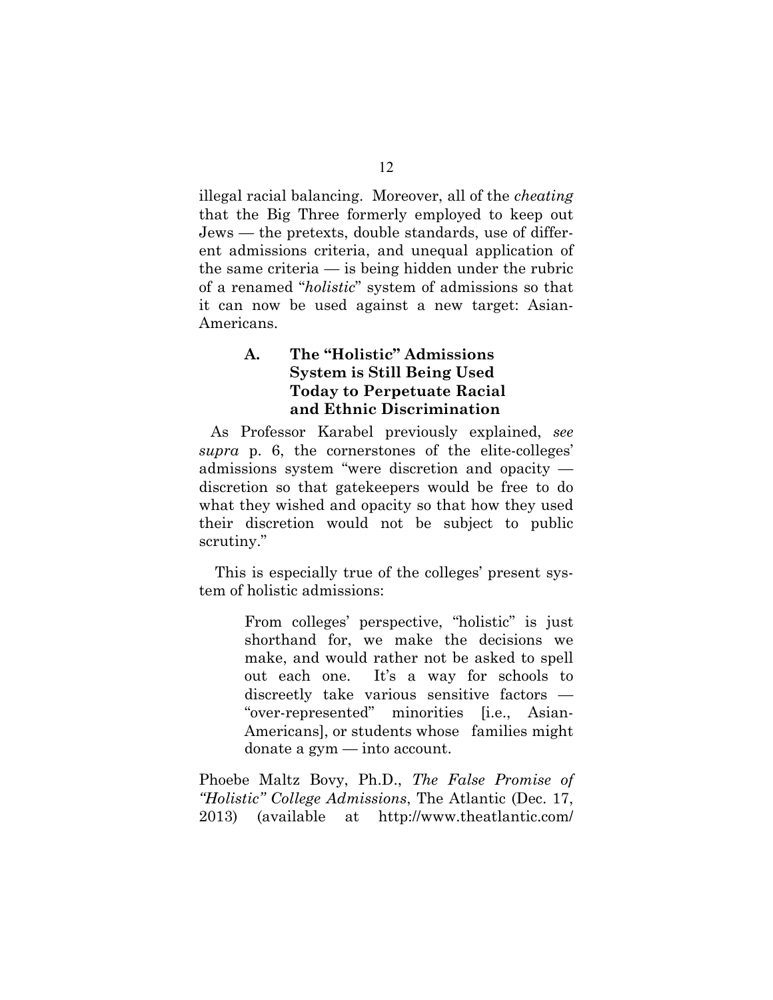illegal racial balancing. Moreover, all of the *cheating* that the Big Three formerly employed to keep out Jews — the pretexts, double standards, use of different admissions criteria, and unequal application of the same criteria — is being hidden under the rubric of a renamed "*holistic*" system of admissions so that it can now be used against a new target: Asian-Americans.

# **A. The "Holistic" Admissions System is Still Being Used Today to Perpetuate Racial and Ethnic Discrimination**

As Professor Karabel previously explained, *see supra* p. 6, the cornerstones of the elite-colleges' admissions system "were discretion and opacity discretion so that gatekeepers would be free to do what they wished and opacity so that how they used their discretion would not be subject to public scrutiny."

This is especially true of the colleges' present system of holistic admissions:

> From colleges' perspective, "holistic" is just shorthand for, we make the decisions we make, and would rather not be asked to spell out each one. It's a way for schools to discreetly take various sensitive factors — "over-represented" minorities [i.e., Asian-Americans], or students whose families might donate a gym — into account.

Phoebe Maltz Bovy, Ph.D., *The False Promise of "Holistic" College Admissions*, The Atlantic (Dec. 17, 2013) (available at http://www.theatlantic.com/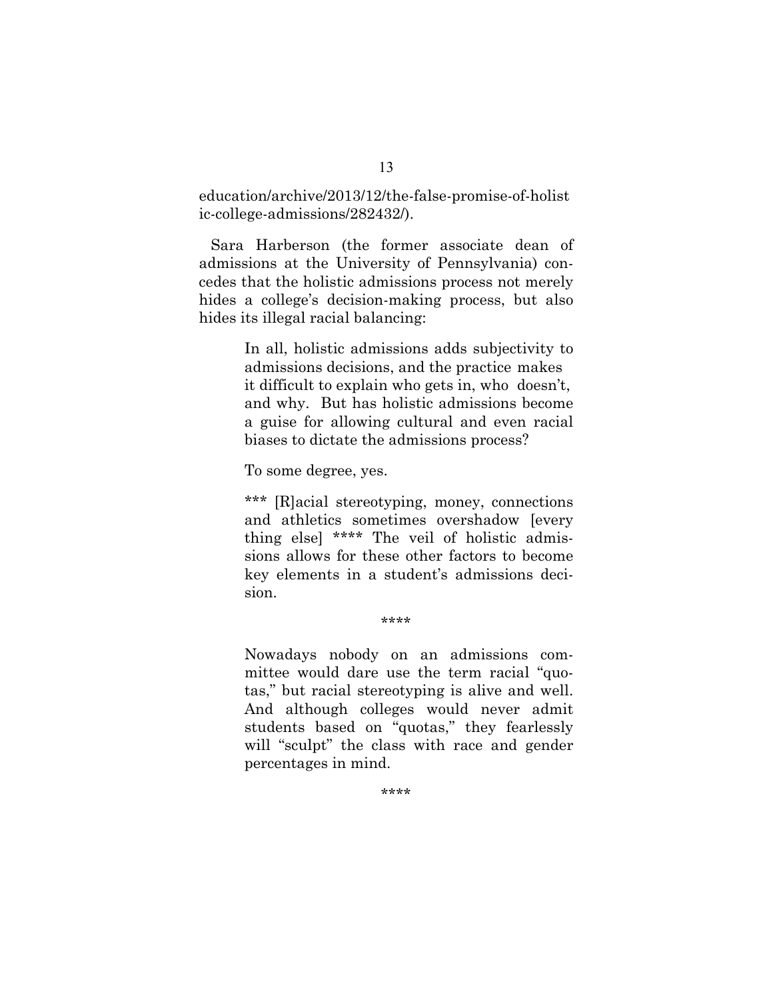education/archive/2013/12/the-false-promise-of-holist ic-college-admissions/282432/).

Sara Harberson (the former associate dean of admissions at the University of Pennsylvania) concedes that the holistic admissions process not merely hides a college's decision-making process, but also hides its illegal racial balancing:

> In all, holistic admissions adds subjectivity to admissions decisions, and the practice makes it difficult to explain who gets in, who doesn't, and why. But has holistic admissions become a guise for allowing cultural and even racial biases to dictate the admissions process?

To some degree, yes.

\*\*\* [R]acial stereotyping, money, connections and athletics sometimes overshadow [every thing else] \*\*\*\* The veil of holistic admissions allows for these other factors to become key elements in a student's admissions decision.

\*\*\*\*

Nowadays nobody on an admissions committee would dare use the term racial "quotas," but racial stereotyping is alive and well. And although colleges would never admit students based on "quotas," they fearlessly will "sculpt" the class with race and gender percentages in mind.

\*\*\*\*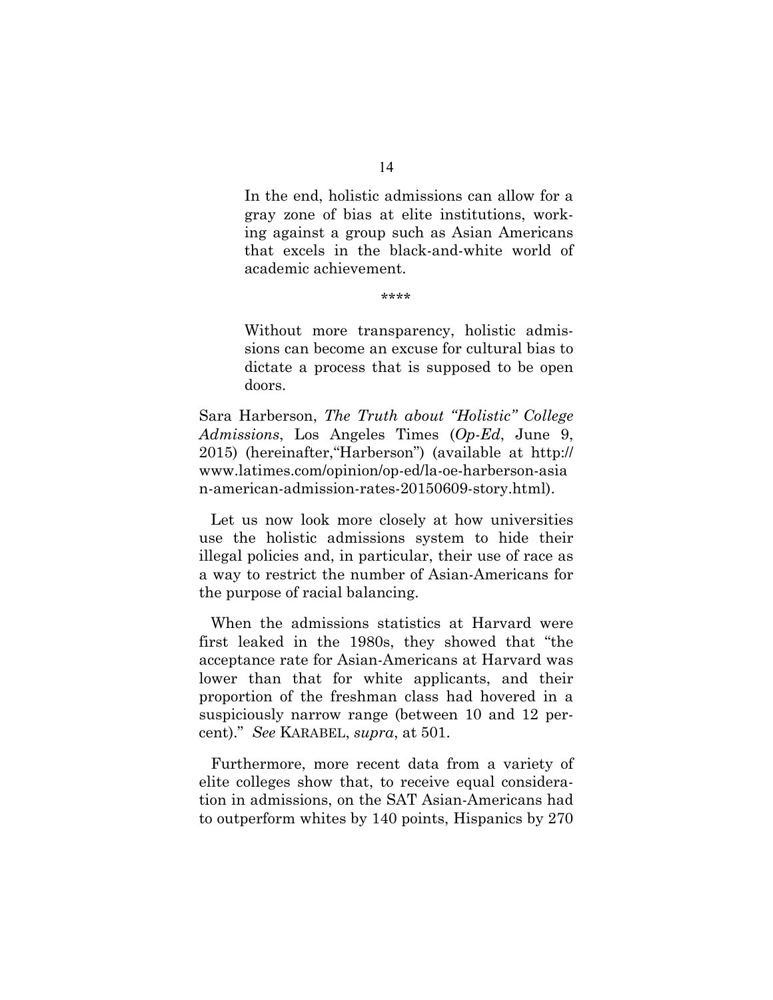In the end, holistic admissions can allow for a gray zone of bias at elite institutions, working against a group such as Asian Americans that excels in the black-and-white world of academic achievement.

\*\*\*\*

Without more transparency, holistic admissions can become an excuse for cultural bias to dictate a process that is supposed to be open doors.

Sara Harberson, *The Truth about "Holistic" College Admissions*, Los Angeles Times (*Op-Ed*, June 9, 2015) (hereinafter,"Harberson") (available at http:// www.latimes.com/opinion/op-ed/la-oe-harberson-asia n-american-admission-rates-20150609-story.html).

Let us now look more closely at how universities use the holistic admissions system to hide their illegal policies and, in particular, their use of race as a way to restrict the number of Asian-Americans for the purpose of racial balancing.

When the admissions statistics at Harvard were first leaked in the 1980s, they showed that "the acceptance rate for Asian-Americans at Harvard was lower than that for white applicants, and their proportion of the freshman class had hovered in a suspiciously narrow range (between 10 and 12 percent)." *See* KARABEL, *supra*, at 501.

Furthermore, more recent data from a variety of elite colleges show that, to receive equal consideration in admissions, on the SAT Asian-Americans had to outperform whites by 140 points, Hispanics by 270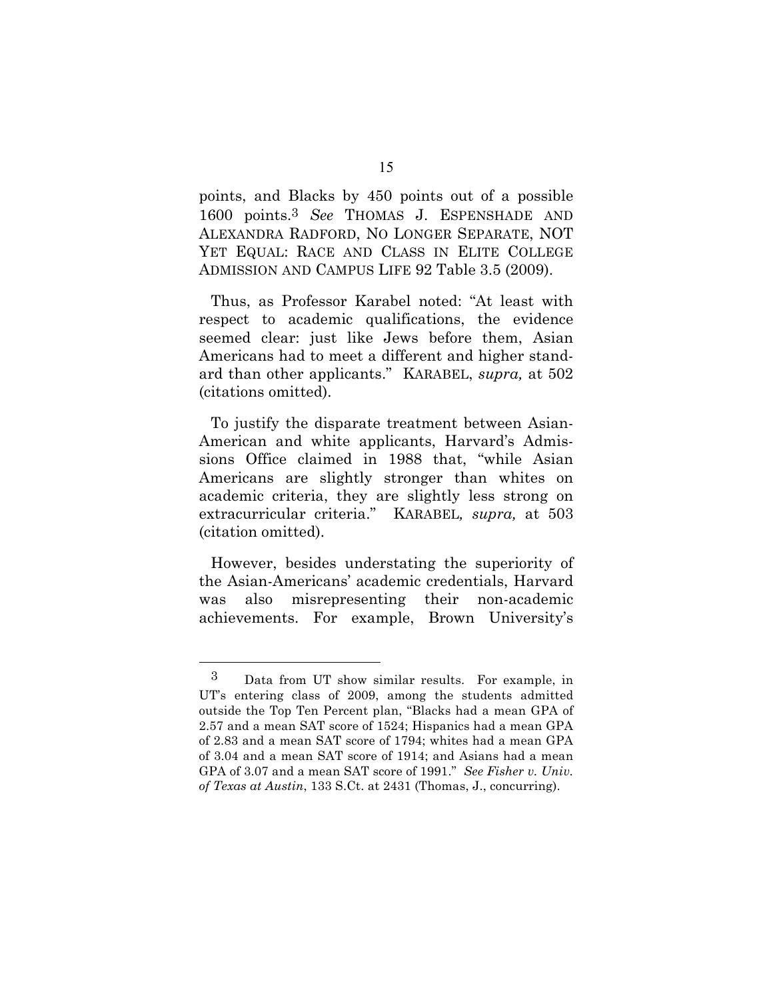points, and Blacks by 450 points out of a possible 1600 points.3 *See* THOMAS J. ESPENSHADE AND ALEXANDRA RADFORD, NO LONGER SEPARATE, NOT YET EQUAL: RACE AND CLASS IN ELITE COLLEGE ADMISSION AND CAMPUS LIFE 92 Table 3.5 (2009).

Thus, as Professor Karabel noted: "At least with respect to academic qualifications, the evidence seemed clear: just like Jews before them, Asian Americans had to meet a different and higher standard than other applicants." KARABEL, *supra,* at 502 (citations omitted).

To justify the disparate treatment between Asian-American and white applicants, Harvard's Admissions Office claimed in 1988 that, "while Asian Americans are slightly stronger than whites on academic criteria, they are slightly less strong on extracurricular criteria." KARABEL*, supra,* at 503 (citation omitted).

However, besides understating the superiority of the Asian-Americans' academic credentials, Harvard was also misrepresenting their non-academic achievements. For example, Brown University's

 $\overline{a}$ 

<sup>3</sup> Data from UT show similar results. For example, in UT's entering class of 2009, among the students admitted outside the Top Ten Percent plan, "Blacks had a mean GPA of 2.57 and a mean SAT score of 1524; Hispanics had a mean GPA of 2.83 and a mean SAT score of 1794; whites had a mean GPA of 3.04 and a mean SAT score of 1914; and Asians had a mean GPA of 3.07 and a mean SAT score of 1991." *See Fisher v. Univ. of Texas at Austin*, 133 S.Ct. at 2431 (Thomas, J., concurring).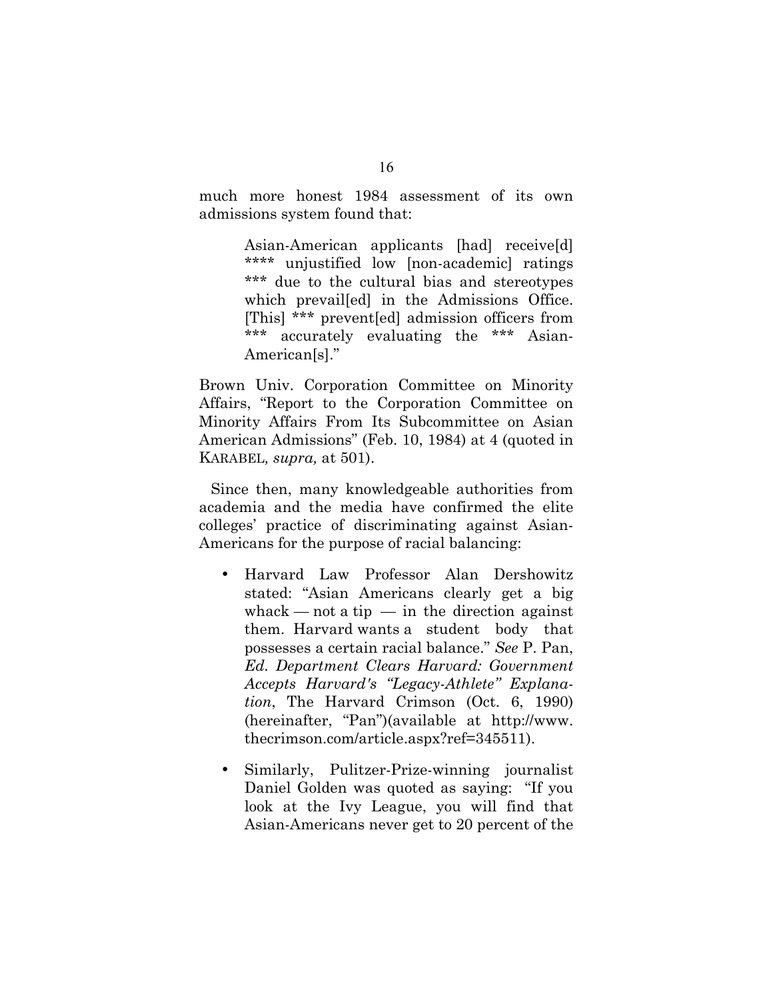much more honest 1984 assessment of its own admissions system found that:

> Asian-American applicants [had] receive[d] \*\*\*\* unjustified low [non-academic] ratings \*\*\* due to the cultural bias and stereotypes which prevailed in the Admissions Office. [This] \*\*\* prevent[ed] admission officers from \*\*\* accurately evaluating the \*\*\* Asian-American[s]."

Brown Univ. Corporation Committee on Minority Affairs, "Report to the Corporation Committee on Minority Affairs From Its Subcommittee on Asian American Admissions" (Feb. 10, 1984) at 4 (quoted in KARABEL*, supra,* at 501).

Since then, many knowledgeable authorities from academia and the media have confirmed the elite colleges' practice of discriminating against Asian-Americans for the purpose of racial balancing:

- Harvard Law Professor Alan Dershowitz stated: "Asian Americans clearly get a big whack — not a tip — in the direction against them. Harvard wants a student body that possesses a certain racial balance." *See* P. Pan, *Ed. Department Clears Harvard: Government Accepts Harvard's "Legacy-Athlete" Explanation*, The Harvard Crimson (Oct. 6, 1990) (hereinafter, "Pan")(available at http://www. thecrimson.com/article.aspx?ref=345511).
- Similarly, Pulitzer-Prize-winning journalist Daniel Golden was quoted as saying: "If you look at the Ivy League, you will find that Asian-Americans never get to 20 percent of the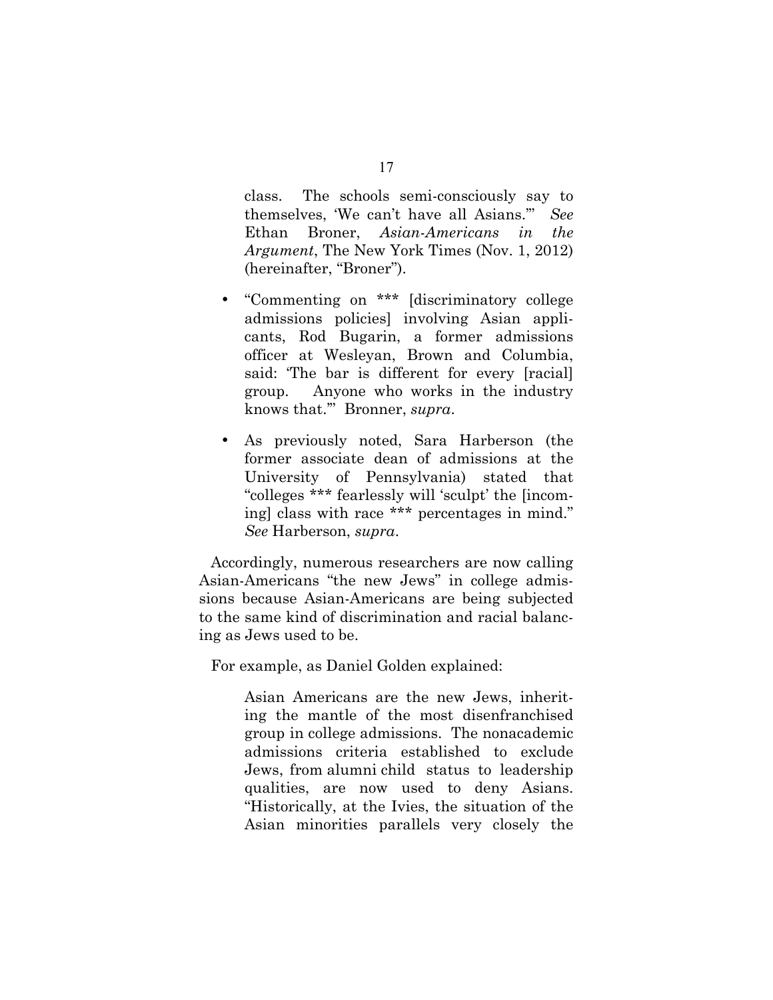class. The schools semi-consciously say to themselves, 'We can't have all Asians.'" *See* Ethan Broner, *Asian-Americans in the Argument*, The New York Times (Nov. 1, 2012) (hereinafter, "Broner").

- "Commenting on \*\*\* [discriminatory college admissions policies] involving Asian applicants, Rod Bugarin, a former admissions officer at Wesleyan, Brown and Columbia, said: 'The bar is different for every [racial] group. Anyone who works in the industry knows that.'" Bronner, *supra*.
- As previously noted, Sara Harberson (the former associate dean of admissions at the University of Pennsylvania) stated that "colleges \*\*\* fearlessly will 'sculpt' the [incoming] class with race \*\*\* percentages in mind." *See* Harberson, *supra*.

Accordingly, numerous researchers are now calling Asian-Americans "the new Jews" in college admissions because Asian-Americans are being subjected to the same kind of discrimination and racial balancing as Jews used to be.

For example, as Daniel Golden explained:

Asian Americans are the new Jews, inheriting the mantle of the most disenfranchised group in college admissions. The nonacademic admissions criteria established to exclude Jews, from alumni child status to leadership qualities, are now used to deny Asians. "Historically, at the Ivies, the situation of the Asian minorities parallels very closely the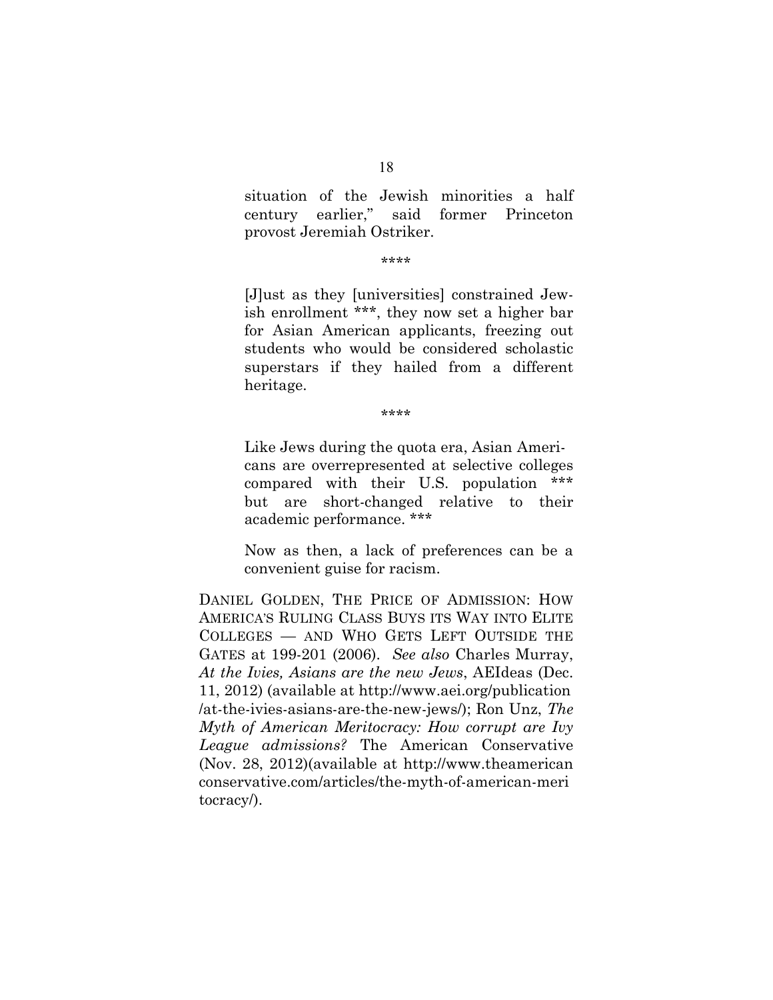situation of the Jewish minorities a half century earlier," said former Princeton provost Jeremiah Ostriker.

#### \*\*\*\*

[J]ust as they [universities] constrained Jewish enrollment \*\*\*, they now set a higher bar for Asian American applicants, freezing out students who would be considered scholastic superstars if they hailed from a different heritage.

\*\*\*\*

Like Jews during the quota era, Asian Americans are overrepresented at selective colleges compared with their U.S. population \*\*\* but are short-changed relative to their academic performance. \*\*\*

Now as then, a lack of preferences can be a convenient guise for racism.

DANIEL GOLDEN, THE PRICE OF ADMISSION: HOW AMERICA'S RULING CLASS BUYS ITS WAY INTO ELITE COLLEGES — AND WHO GETS LEFT OUTSIDE THE GATES at 199-201 (2006). *See also* Charles Murray, *At the Ivies, Asians are the new Jews*, AEIdeas (Dec. 11, 2012) (available at http://www.aei.org/publication /at-the-ivies-asians-are-the-new-jews/); Ron Unz, *The Myth of American Meritocracy: How corrupt are Ivy League admissions?* The American Conservative (Nov. 28, 2012)(available at http://www.theamerican conservative.com/articles/the-myth-of-american-meri tocracy/).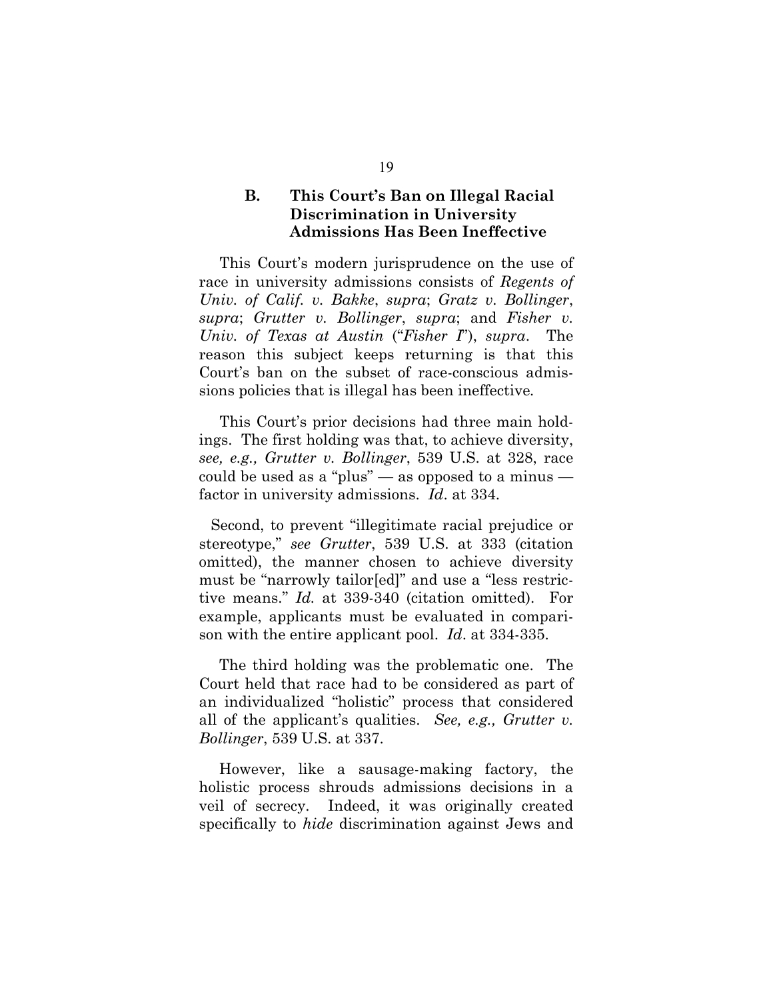# **B. This Court's Ban on Illegal Racial Discrimination in University Admissions Has Been Ineffective**

This Court's modern jurisprudence on the use of race in university admissions consists of *Regents of Univ. of Calif. v. Bakke*, *supra*; *Gratz v. Bollinger*, *supra*; *Grutter v. Bollinger*, *supra*; and *Fisher v. Univ. of Texas at Austin* ("*Fisher I*"), *supra*. The reason this subject keeps returning is that this Court's ban on the subset of race-conscious admissions policies that is illegal has been ineffective*.*

This Court's prior decisions had three main holdings. The first holding was that, to achieve diversity, *see, e.g., Grutter v. Bollinger*, 539 U.S. at 328, race could be used as a "plus" — as opposed to a minus factor in university admissions. *Id*. at 334.

Second, to prevent "illegitimate racial prejudice or stereotype," *see Grutter*, 539 U.S. at 333 (citation omitted), the manner chosen to achieve diversity must be "narrowly tailor[ed]" and use a "less restrictive means." *Id.* at 339-340 (citation omitted). For example, applicants must be evaluated in comparison with the entire applicant pool. *Id*. at 334-335.

 The third holding was the problematic one. The Court held that race had to be considered as part of an individualized "holistic" process that considered all of the applicant's qualities. *See, e.g., Grutter v. Bollinger*, 539 U.S. at 337.

 However, like a sausage-making factory, the holistic process shrouds admissions decisions in a veil of secrecy. Indeed, it was originally created specifically to *hide* discrimination against Jews and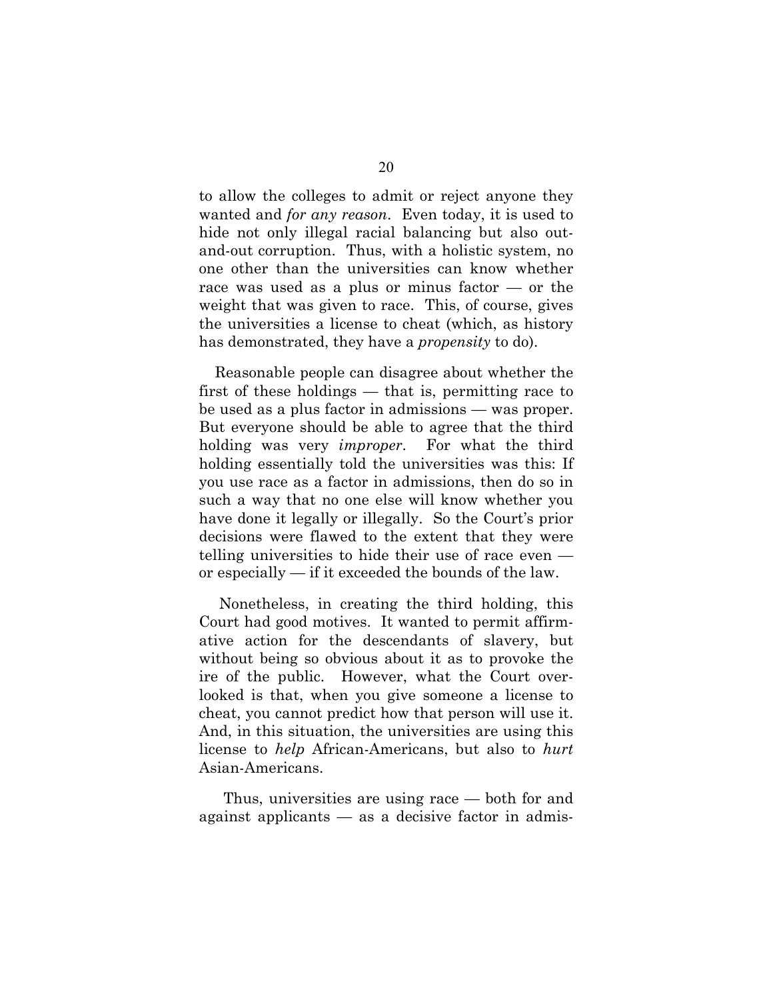to allow the colleges to admit or reject anyone they wanted and *for any reason*. Even today, it is used to hide not only illegal racial balancing but also outand-out corruption. Thus, with a holistic system, no one other than the universities can know whether race was used as a plus or minus factor — or the weight that was given to race. This, of course, gives the universities a license to cheat (which, as history has demonstrated, they have a *propensity* to do).

Reasonable people can disagree about whether the first of these holdings — that is, permitting race to be used as a plus factor in admissions — was proper. But everyone should be able to agree that the third holding was very *improper*. For what the third holding essentially told the universities was this: If you use race as a factor in admissions, then do so in such a way that no one else will know whether you have done it legally or illegally. So the Court's prior decisions were flawed to the extent that they were telling universities to hide their use of race even or especially — if it exceeded the bounds of the law.

 Nonetheless, in creating the third holding, this Court had good motives. It wanted to permit affirmative action for the descendants of slavery, but without being so obvious about it as to provoke the ire of the public. However, what the Court overlooked is that, when you give someone a license to cheat, you cannot predict how that person will use it. And, in this situation, the universities are using this license to *help* African-Americans, but also to *hurt* Asian-Americans.

 Thus, universities are using race — both for and against applicants — as a decisive factor in admis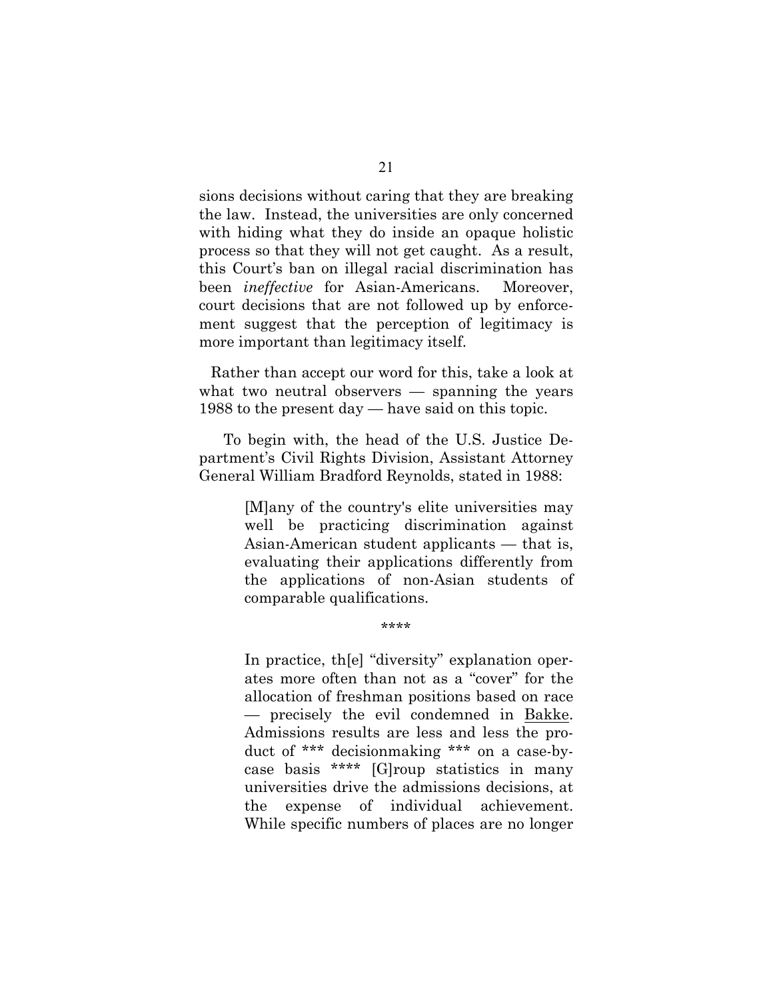sions decisions without caring that they are breaking the law. Instead, the universities are only concerned with hiding what they do inside an opaque holistic process so that they will not get caught. As a result, this Court's ban on illegal racial discrimination has been *ineffective* for Asian-Americans. Moreover, court decisions that are not followed up by enforcement suggest that the perception of legitimacy is more important than legitimacy itself.

Rather than accept our word for this, take a look at what two neutral observers — spanning the years 1988 to the present day — have said on this topic.

 To begin with, the head of the U.S. Justice Department's Civil Rights Division, Assistant Attorney General William Bradford Reynolds, stated in 1988:

> [M]any of the country's elite universities may well be practicing discrimination against Asian-American student applicants — that is, evaluating their applications differently from the applications of non-Asian students of comparable qualifications.

> > \*\*\*\*

In practice, th[e] "diversity" explanation operates more often than not as a "cover" for the allocation of freshman positions based on race — precisely the evil condemned in Bakke. Admissions results are less and less the product of \*\*\* decisionmaking \*\*\* on a case-bycase basis \*\*\*\* [G]roup statistics in many universities drive the admissions decisions, at the expense of individual achievement. While specific numbers of places are no longer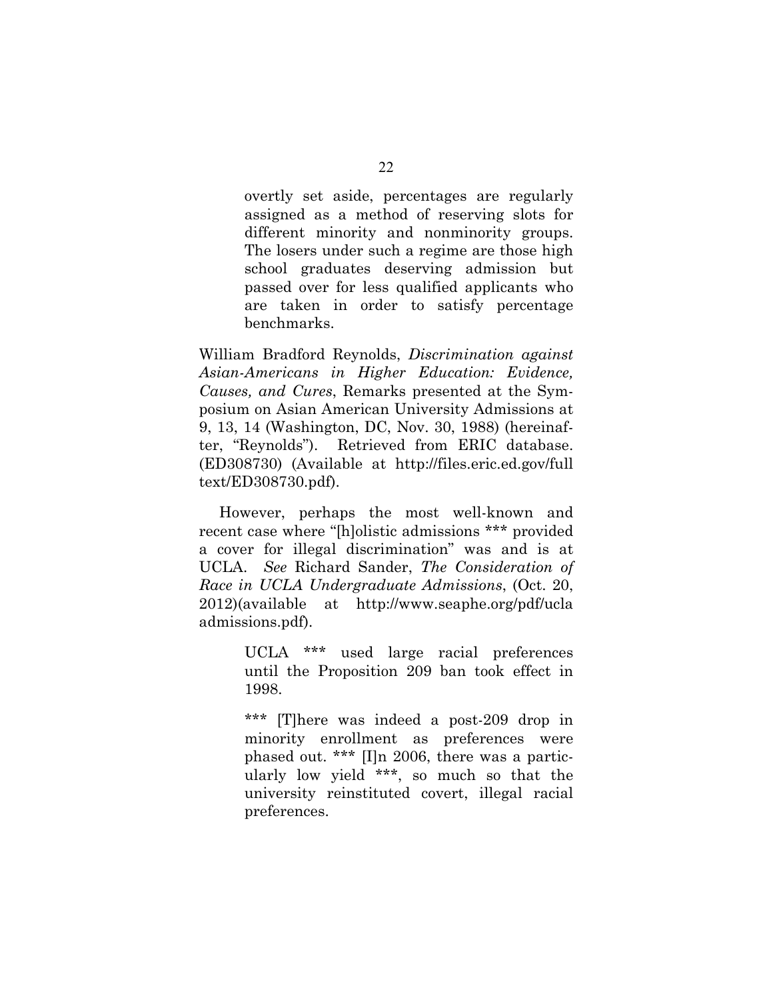overtly set aside, percentages are regularly assigned as a method of reserving slots for different minority and nonminority groups. The losers under such a regime are those high school graduates deserving admission but passed over for less qualified applicants who are taken in order to satisfy percentage benchmarks.

William Bradford Reynolds, *Discrimination against Asian-Americans in Higher Education: Evidence, Causes, and Cures*, Remarks presented at the Symposium on Asian American University Admissions at 9, 13, 14 (Washington, DC, Nov. 30, 1988) (hereinafter, "Reynolds"). Retrieved from ERIC database. (ED308730) (Available at http://files.eric.ed.gov/full text/ED308730.pdf).

 However, perhaps the most well-known and recent case where "[h]olistic admissions \*\*\* provided a cover for illegal discrimination" was and is at UCLA. *See* Richard Sander, *The Consideration of Race in UCLA Undergraduate Admissions*, (Oct. 20, 2012)(available at http://www.seaphe.org/pdf/ucla admissions.pdf).

> UCLA \*\*\* used large racial preferences until the Proposition 209 ban took effect in 1998.

> \*\*\* [T]here was indeed a post-209 drop in minority enrollment as preferences were phased out. \*\*\* [I]n 2006, there was a particularly low yield \*\*\*, so much so that the university reinstituted covert, illegal racial preferences.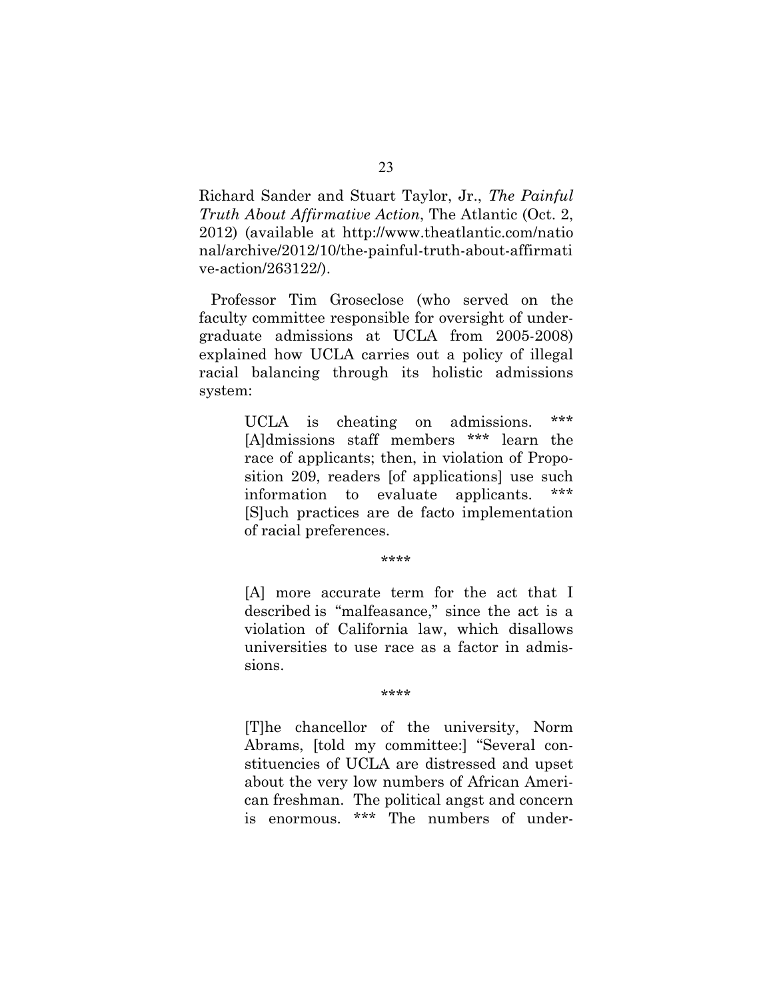Richard Sander and Stuart Taylor, Jr., *The Painful Truth About Affirmative Action*, The Atlantic (Oct. 2, 2012) (available at http://www.theatlantic.com/natio nal/archive/2012/10/the-painful-truth-about-affirmati ve-action/263122/).

Professor Tim Groseclose (who served on the faculty committee responsible for oversight of undergraduate admissions at UCLA from 2005-2008) explained how UCLA carries out a policy of illegal racial balancing through its holistic admissions system:

> UCLA is cheating on admissions. \*\*\* [A]dmissions staff members \*\*\* learn the race of applicants; then, in violation of Proposition 209, readers [of applications] use such information to evaluate applicants. [S]uch practices are de facto implementation of racial preferences.

> > \*\*\*\*

[A] more accurate term for the act that I described is "malfeasance," since the act is a violation of California law, which disallows universities to use race as a factor in admissions.

#### \*\*\*\*

[T]he chancellor of the university, Norm Abrams, [told my committee:] "Several constituencies of UCLA are distressed and upset about the very low numbers of African American freshman. The political angst and concern is enormous. \*\*\* The numbers of under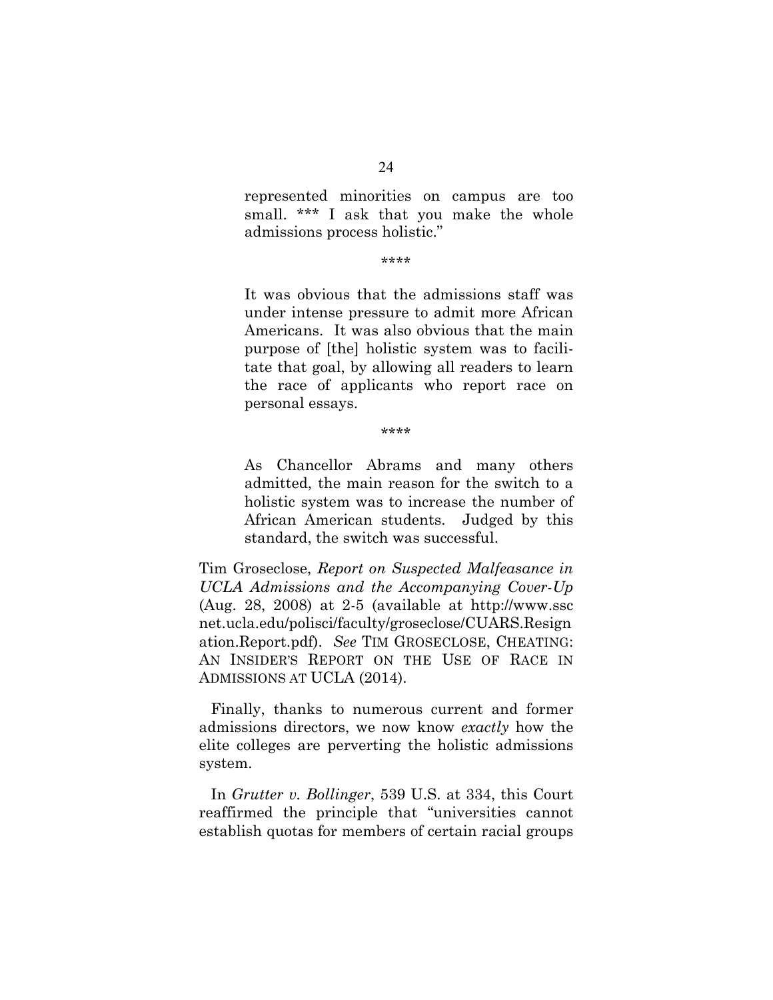represented minorities on campus are too small. \*\*\* I ask that you make the whole admissions process holistic."

#### \*\*\*\*

It was obvious that the admissions staff was under intense pressure to admit more African Americans. It was also obvious that the main purpose of [the] holistic system was to facilitate that goal, by allowing all readers to learn the race of applicants who report race on personal essays.

\*\*\*\*

As Chancellor Abrams and many others admitted, the main reason for the switch to a holistic system was to increase the number of African American students. Judged by this standard, the switch was successful.

Tim Groseclose, *Report on Suspected Malfeasance in UCLA Admissions and the Accompanying Cover-Up* (Aug. 28, 2008) at 2-5 (available at http://www.ssc net.ucla.edu/polisci/faculty/groseclose/CUARS.Resign ation.Report.pdf). *See* TIM GROSECLOSE, CHEATING: AN INSIDER'S REPORT ON THE USE OF RACE IN ADMISSIONS AT UCLA (2014).

Finally, thanks to numerous current and former admissions directors, we now know *exactly* how the elite colleges are perverting the holistic admissions system.

In *Grutter v. Bollinger*, 539 U.S. at 334, this Court reaffirmed the principle that "universities cannot establish quotas for members of certain racial groups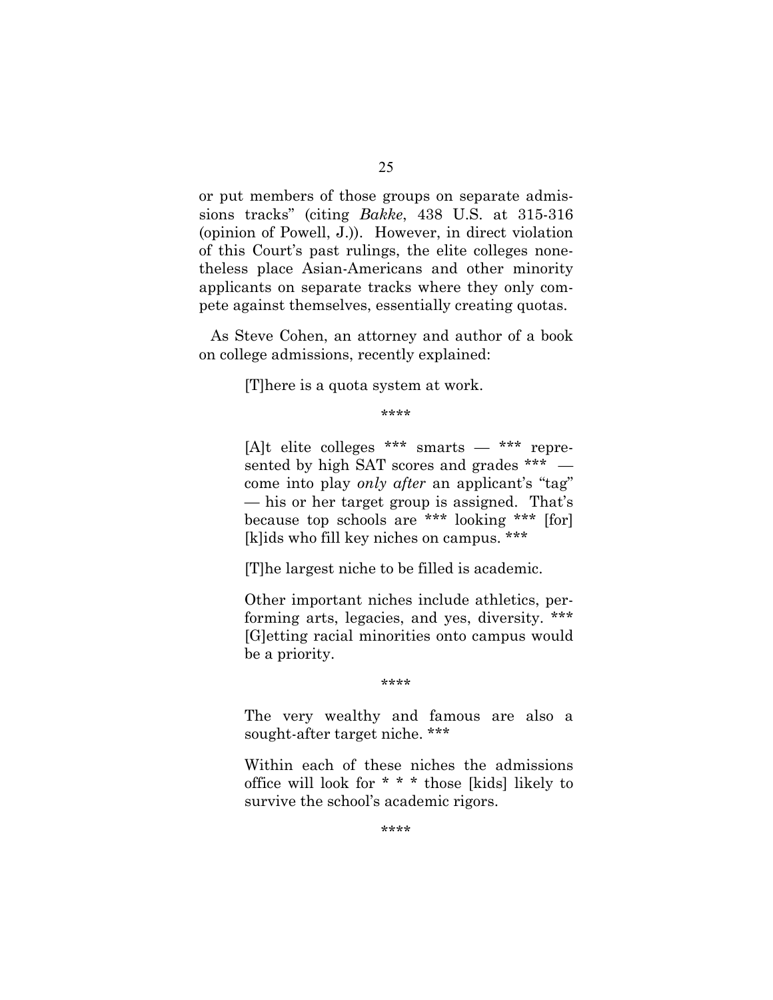or put members of those groups on separate admissions tracks" (citing *Bakke*, 438 U.S. at 315-316 (opinion of Powell, J.)). However, in direct violation of this Court's past rulings, the elite colleges nonetheless place Asian-Americans and other minority applicants on separate tracks where they only compete against themselves, essentially creating quotas.

As Steve Cohen, an attorney and author of a book on college admissions, recently explained:

[T]here is a quota system at work.

\*\*\*\*

[A]t elite colleges \*\*\* smarts — \*\*\* represented by high SAT scores and grades \*\*\*  $$ come into play *only after* an applicant's "tag" — his or her target group is assigned. That's because top schools are \*\*\* looking \*\*\* [for] [k]ids who fill key niches on campus. \*\*\*

[T]he largest niche to be filled is academic.

Other important niches include athletics, performing arts, legacies, and yes, diversity. \*\*\* [G]etting racial minorities onto campus would be a priority.

\*\*\*\*

The very wealthy and famous are also a sought-after target niche. \*\*\*

Within each of these niches the admissions office will look for \* \* \* those [kids] likely to survive the school's academic rigors.

\*\*\*\*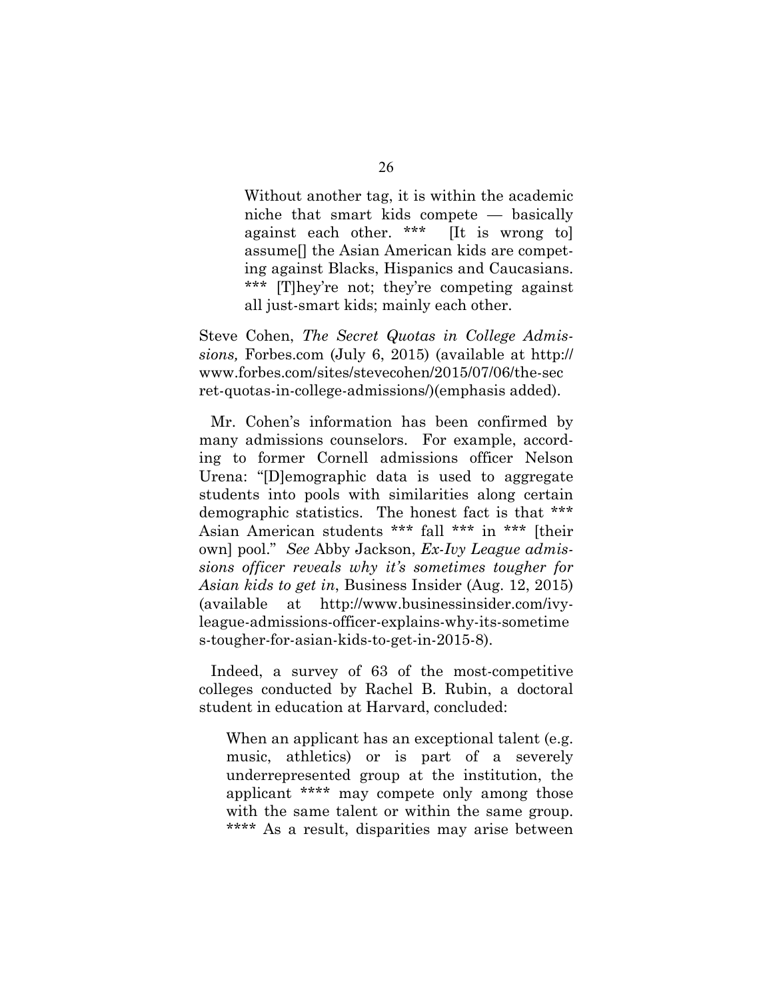Without another tag, it is within the academic niche that smart kids compete — basically against each other. \*\*\* [It is wrong to] assume[] the Asian American kids are competing against Blacks, Hispanics and Caucasians. \*\*\* [T]hey're not; they're competing against all just-smart kids; mainly each other.

Steve Cohen, *The Secret Quotas in College Admissions,* Forbes.com (July 6, 2015) (available at http:// www.forbes.com/sites/stevecohen/2015/07/06/the-sec ret-quotas-in-college-admissions/)(emphasis added).

Mr. Cohen's information has been confirmed by many admissions counselors. For example, according to former Cornell admissions officer Nelson Urena: "[D]emographic data is used to aggregate students into pools with similarities along certain demographic statistics. The honest fact is that \*\*\* Asian American students \*\*\* fall \*\*\* in \*\*\* [their own] pool." *See* Abby Jackson, *Ex-Ivy League admissions officer reveals why it's sometimes tougher for Asian kids to get in*, Business Insider (Aug. 12, 2015) (available at http://www.businessinsider.com/ivyleague-admissions-officer-explains-why-its-sometime s-tougher-for-asian-kids-to-get-in-2015-8).

Indeed, a survey of 63 of the most-competitive colleges conducted by Rachel B. Rubin, a doctoral student in education at Harvard, concluded:

When an applicant has an exceptional talent (e.g. music, athletics) or is part of a severely underrepresented group at the institution, the applicant \*\*\*\* may compete only among those with the same talent or within the same group. \*\*\*\* As a result, disparities may arise between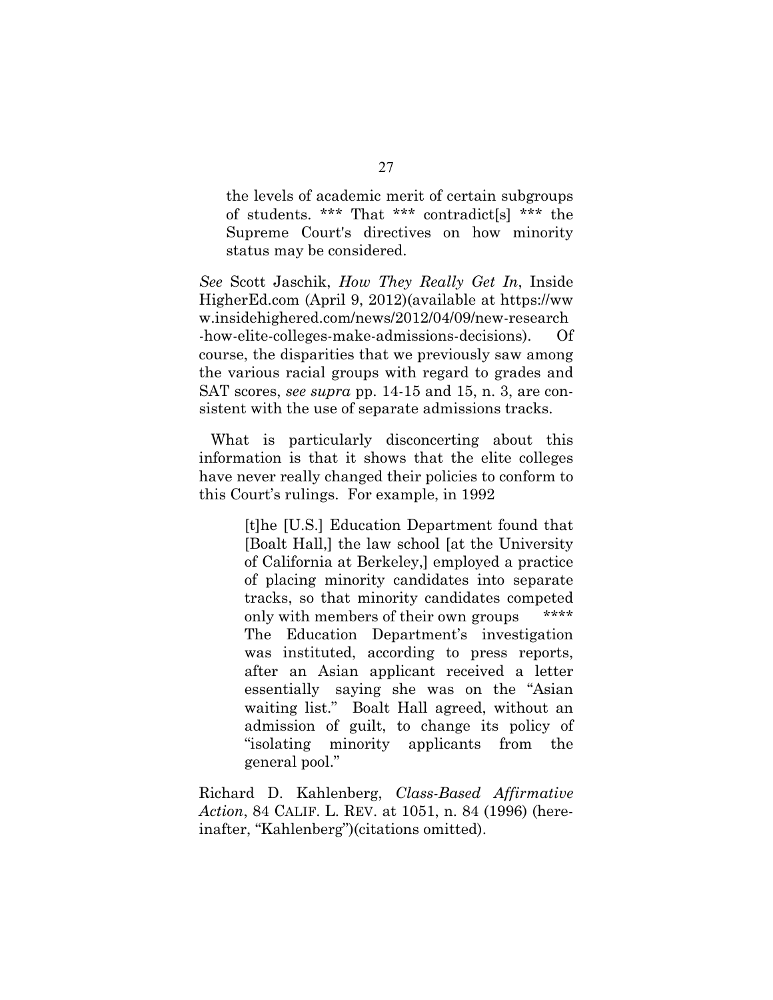the levels of academic merit of certain subgroups of students. \*\*\* That \*\*\* contradict[s] \*\*\* the Supreme Court's directives on how minority status may be considered.

*See* Scott Jaschik, *How They Really Get In*, Inside HigherEd.com (April 9, 2012)(available at https://ww w.insidehighered.com/news/2012/04/09/new-research -how-elite-colleges-make-admissions-decisions). course, the disparities that we previously saw among the various racial groups with regard to grades and SAT scores, *see supra* pp. 14-15 and 15, n. 3, are consistent with the use of separate admissions tracks.

What is particularly disconcerting about this information is that it shows that the elite colleges have never really changed their policies to conform to this Court's rulings. For example, in 1992

> [t]he [U.S.] Education Department found that [Boalt Hall,] the law school [at the University of California at Berkeley,] employed a practice of placing minority candidates into separate tracks, so that minority candidates competed only with members of their own groups \*\*\*\* The Education Department's investigation was instituted, according to press reports, after an Asian applicant received a letter essentially saying she was on the "Asian waiting list." Boalt Hall agreed, without an admission of guilt, to change its policy of "isolating minority applicants from the general pool."

Richard D. Kahlenberg, *Class-Based Affirmative Action*, 84 CALIF. L. REV. at 1051, n. 84 (1996) (hereinafter, "Kahlenberg")(citations omitted).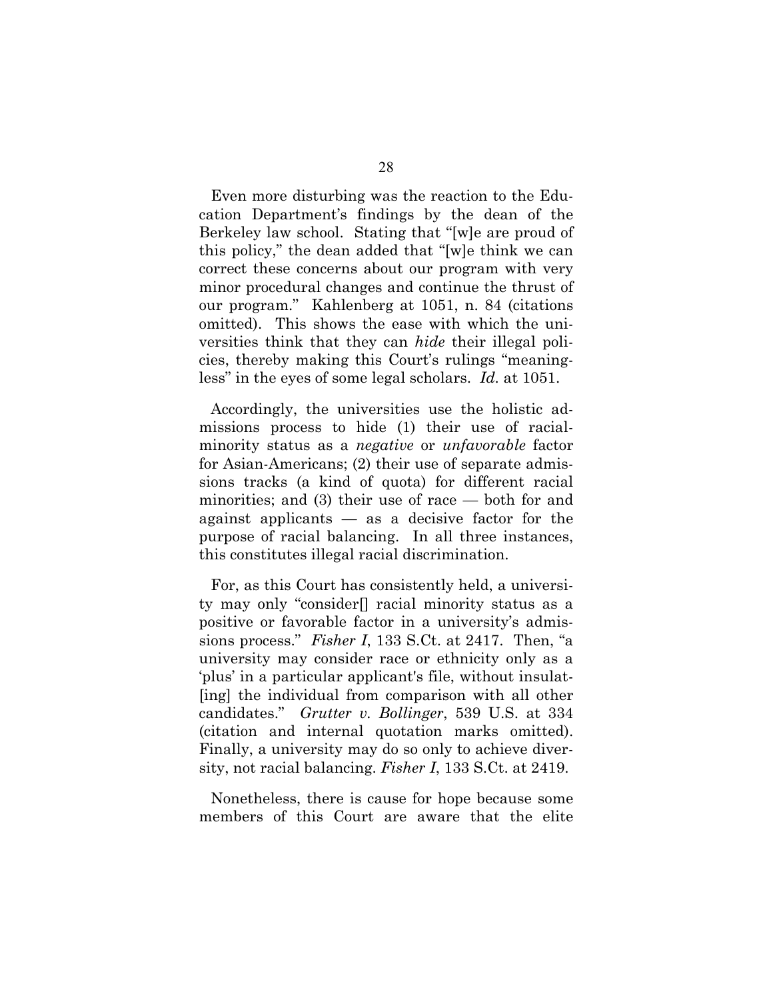Even more disturbing was the reaction to the Education Department's findings by the dean of the Berkeley law school. Stating that "[w]e are proud of this policy," the dean added that "[w]e think we can correct these concerns about our program with very minor procedural changes and continue the thrust of our program." Kahlenberg at 1051, n. 84 (citations omitted). This shows the ease with which the universities think that they can *hide* their illegal policies, thereby making this Court's rulings "meaningless" in the eyes of some legal scholars. *Id.* at 1051.

Accordingly, the universities use the holistic admissions process to hide (1) their use of racialminority status as a *negative* or *unfavorable* factor for Asian-Americans; (2) their use of separate admissions tracks (a kind of quota) for different racial minorities; and (3) their use of race — both for and against applicants — as a decisive factor for the purpose of racial balancing. In all three instances, this constitutes illegal racial discrimination.

For, as this Court has consistently held, a university may only "consider[] racial minority status as a positive or favorable factor in a university's admissions process." *Fisher I*, 133 S.Ct. at 2417. Then, "a university may consider race or ethnicity only as a 'plus' in a particular applicant's file, without insulat- [ing] the individual from comparison with all other candidates." *Grutter v. Bollinger*, 539 U.S. at 334 (citation and internal quotation marks omitted). Finally, a university may do so only to achieve diversity, not racial balancing. *Fisher I*, 133 S.Ct. at 2419.

Nonetheless, there is cause for hope because some members of this Court are aware that the elite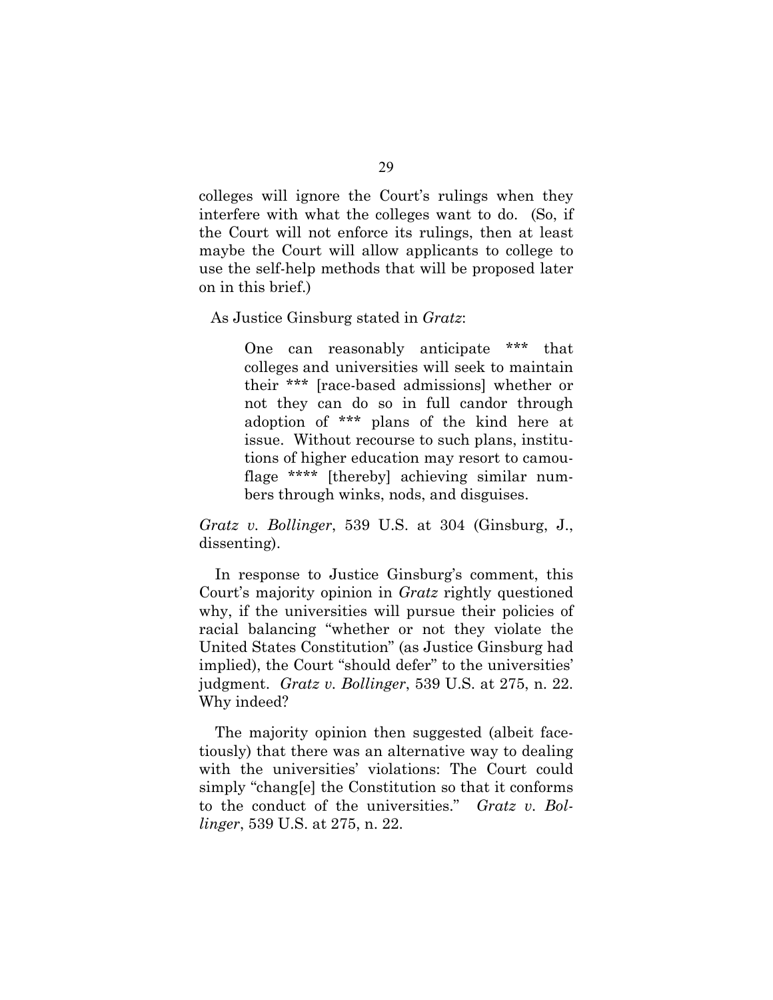colleges will ignore the Court's rulings when they interfere with what the colleges want to do. (So, if the Court will not enforce its rulings, then at least maybe the Court will allow applicants to college to use the self-help methods that will be proposed later on in this brief.)

As Justice Ginsburg stated in *Gratz*:

One can reasonably anticipate \*\*\* that colleges and universities will seek to maintain their \*\*\* [race-based admissions] whether or not they can do so in full candor through adoption of \*\*\* plans of the kind here at issue. Without recourse to such plans, institutions of higher education may resort to camouflage \*\*\*\* [thereby] achieving similar numbers through winks, nods, and disguises.

*Gratz v. Bollinger*, 539 U.S. at 304 (Ginsburg, J., dissenting).

In response to Justice Ginsburg's comment, this Court's majority opinion in *Gratz* rightly questioned why, if the universities will pursue their policies of racial balancing "whether or not they violate the United States Constitution" (as Justice Ginsburg had implied), the Court "should defer" to the universities' judgment. *Gratz v. Bollinger*, 539 U.S. at 275, n. 22. Why indeed?

The majority opinion then suggested (albeit facetiously) that there was an alternative way to dealing with the universities' violations: The Court could simply "chang[e] the Constitution so that it conforms to the conduct of the universities." *Gratz v. Bollinger*, 539 U.S. at 275, n. 22.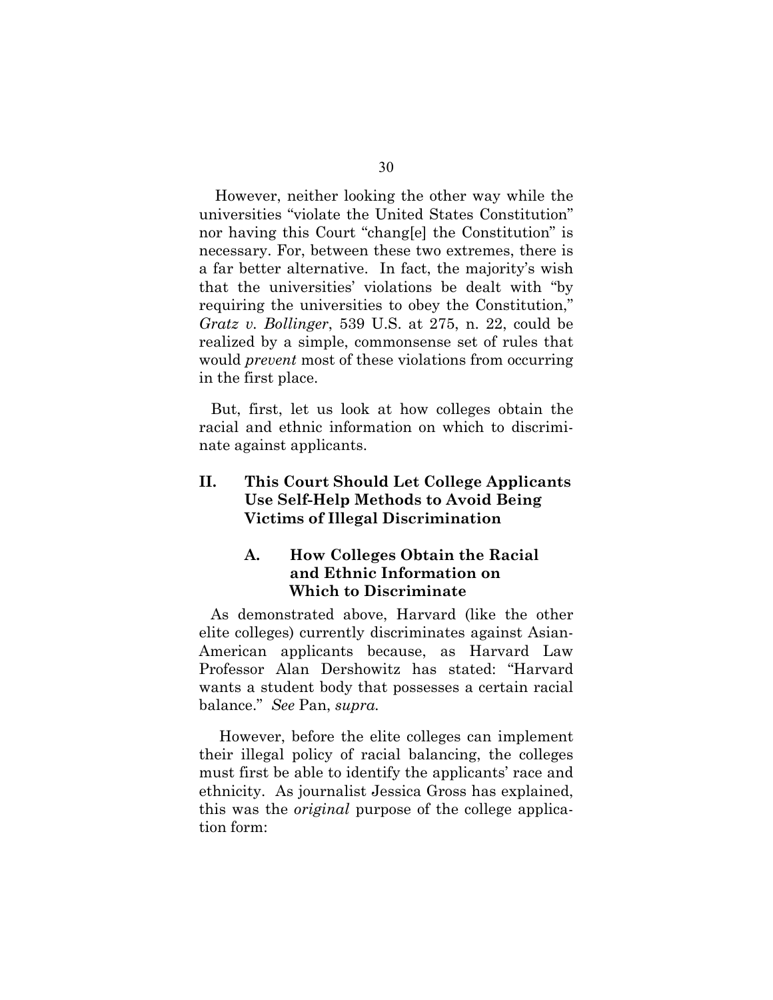However, neither looking the other way while the universities "violate the United States Constitution" nor having this Court "chang[e] the Constitution" is necessary. For, between these two extremes, there is a far better alternative. In fact, the majority's wish that the universities' violations be dealt with "by requiring the universities to obey the Constitution," *Gratz v. Bollinger*, 539 U.S. at 275, n. 22, could be realized by a simple, commonsense set of rules that would *prevent* most of these violations from occurring in the first place.

But, first, let us look at how colleges obtain the racial and ethnic information on which to discriminate against applicants.

# **II. This Court Should Let College Applicants Use Self-Help Methods to Avoid Being Victims of Illegal Discrimination**

# **A. How Colleges Obtain the Racial and Ethnic Information on Which to Discriminate**

As demonstrated above, Harvard (like the other elite colleges) currently discriminates against Asian-American applicants because, as Harvard Law Professor Alan Dershowitz has stated: "Harvard wants a student body that possesses a certain racial balance." *See* Pan, *supra.* 

 However, before the elite colleges can implement their illegal policy of racial balancing, the colleges must first be able to identify the applicants' race and ethnicity. As journalist Jessica Gross has explained, this was the *original* purpose of the college application form: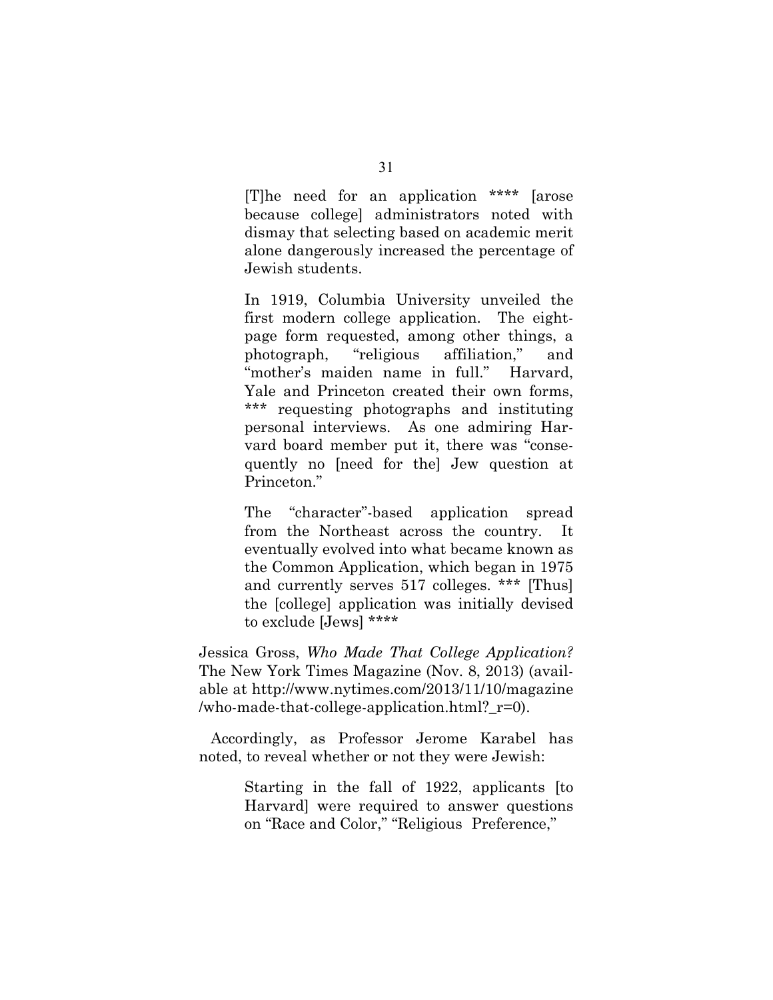[T]he need for an application \*\*\*\* [arose because college] administrators noted with dismay that selecting based on academic merit alone dangerously increased the percentage of Jewish students.

In 1919, Columbia University unveiled the first modern college application. The eightpage form requested, among other things, a photograph, "religious affiliation," and "mother's maiden name in full." Harvard, Yale and Princeton created their own forms, \*\*\* requesting photographs and instituting personal interviews. As one admiring Harvard board member put it, there was "consequently no [need for the] Jew question at Princeton."

The "character"-based application spread from the Northeast across the country. It eventually evolved into what became known as the Common Application, which began in 1975 and currently serves 517 colleges. \*\*\* [Thus] the [college] application was initially devised to exclude [Jews] \*\*\*\*

Jessica Gross, *Who Made That College Application?* The New York Times Magazine (Nov. 8, 2013) (available at http://www.nytimes.com/2013/11/10/magazine /who-made-that-college-application.html?\_r=0).

Accordingly, as Professor Jerome Karabel has noted, to reveal whether or not they were Jewish:

> Starting in the fall of 1922, applicants [to Harvard] were required to answer questions on "Race and Color," "Religious Preference,"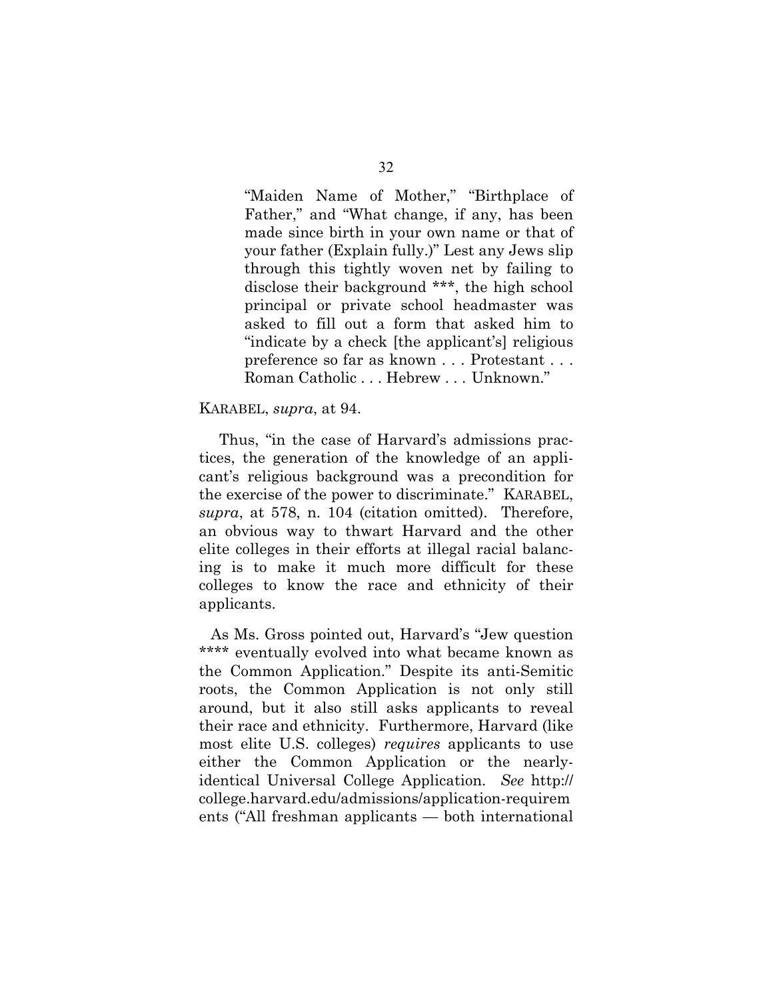"Maiden Name of Mother," "Birthplace of Father," and "What change, if any, has been made since birth in your own name or that of your father (Explain fully.)" Lest any Jews slip through this tightly woven net by failing to disclose their background \*\*\*, the high school principal or private school headmaster was asked to fill out a form that asked him to "indicate by a check [the applicant's] religious preference so far as known . . . Protestant . . . Roman Catholic . . . Hebrew . . . Unknown."

#### KARABEL, *supra*, at 94.

 Thus, "in the case of Harvard's admissions practices, the generation of the knowledge of an applicant's religious background was a precondition for the exercise of the power to discriminate." KARABEL, *supra*, at 578, n. 104 (citation omitted). Therefore, an obvious way to thwart Harvard and the other elite colleges in their efforts at illegal racial balancing is to make it much more difficult for these colleges to know the race and ethnicity of their applicants.

As Ms. Gross pointed out, Harvard's "Jew question \*\*\*\* eventually evolved into what became known as the Common Application." Despite its anti-Semitic roots, the Common Application is not only still around, but it also still asks applicants to reveal their race and ethnicity. Furthermore, Harvard (like most elite U.S. colleges) *requires* applicants to use either the Common Application or the nearlyidentical Universal College Application. *See* http:// college.harvard.edu/admissions/application-requirem ents ("All freshman applicants — both international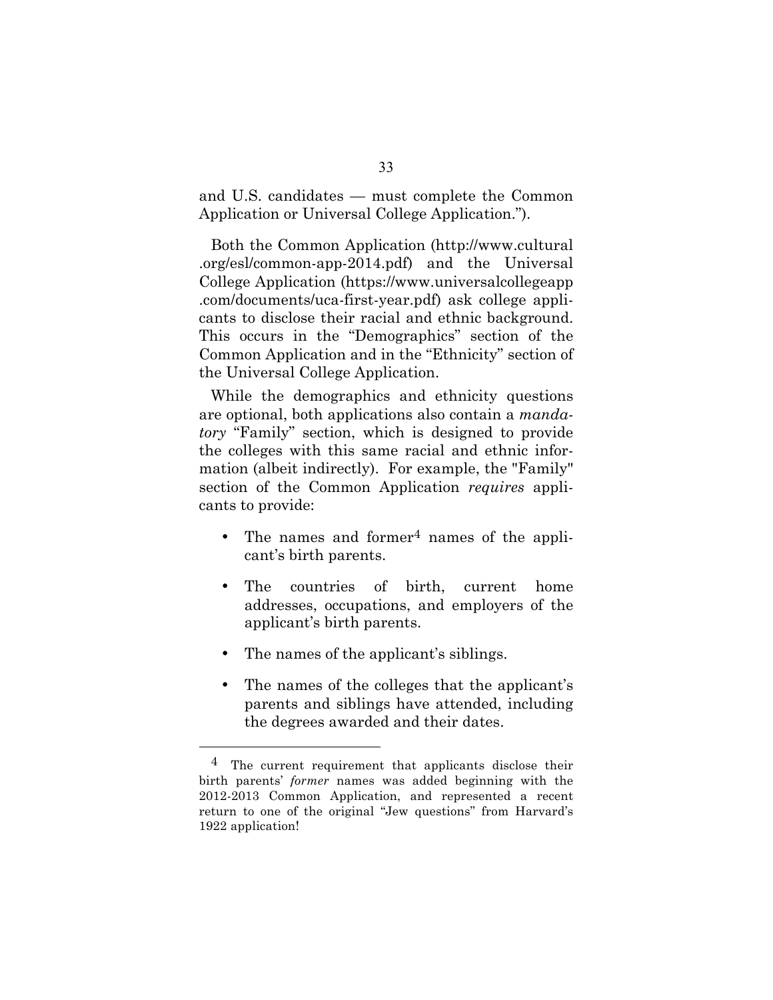and U.S. candidates — must complete the Common Application or Universal College Application.").

Both the Common Application (http://www.cultural .org/esl/common-app-2014.pdf) and the Universal College Application (https://www.universalcollegeapp .com/documents/uca-first-year.pdf) ask college applicants to disclose their racial and ethnic background. This occurs in the "Demographics" section of the Common Application and in the "Ethnicity" section of the Universal College Application.

While the demographics and ethnicity questions are optional, both applications also contain a *mandatory* "Family" section, which is designed to provide the colleges with this same racial and ethnic information (albeit indirectly). For example, the "Family" section of the Common Application *requires* applicants to provide:

- The names and former<sup>4</sup> names of the applicant's birth parents.
- The countries of birth, current home addresses, occupations, and employers of the applicant's birth parents.
- The names of the applicant's siblings.

 $\overline{a}$ 

• The names of the colleges that the applicant's parents and siblings have attended, including the degrees awarded and their dates.

<sup>&</sup>lt;sup>4</sup> The current requirement that applicants disclose their birth parents' *former* names was added beginning with the 2012-2013 Common Application, and represented a recent return to one of the original "Jew questions" from Harvard's 1922 application!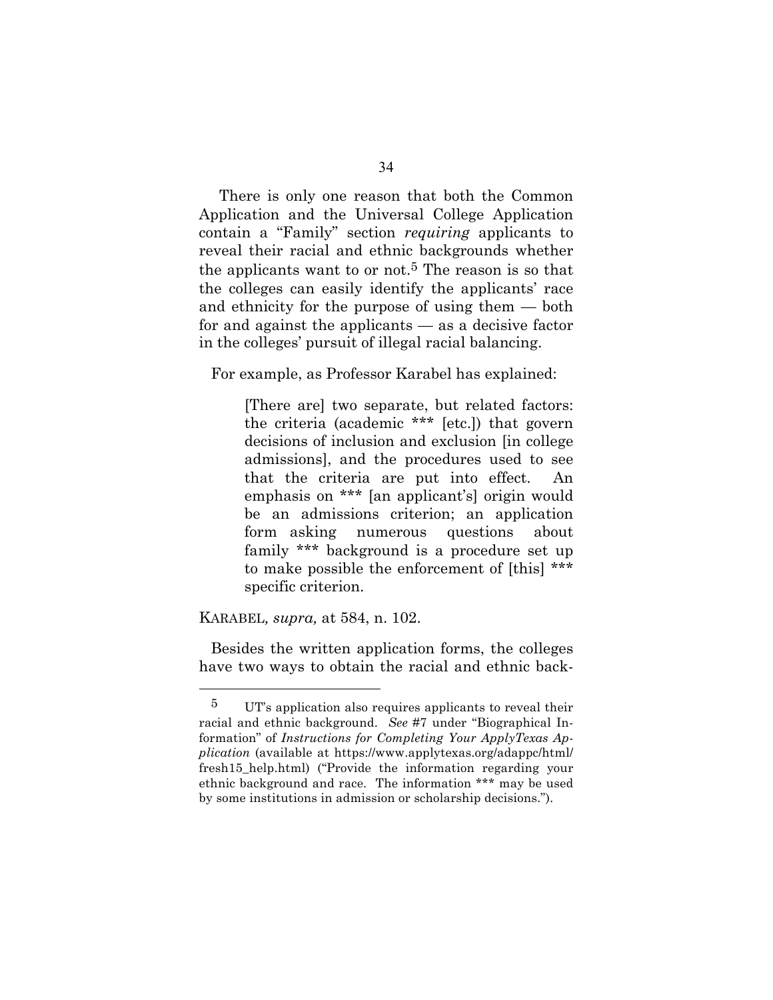There is only one reason that both the Common Application and the Universal College Application contain a "Family" section *requiring* applicants to reveal their racial and ethnic backgrounds whether the applicants want to or not.<sup>5</sup> The reason is so that the colleges can easily identify the applicants' race and ethnicity for the purpose of using them — both for and against the applicants — as a decisive factor in the colleges' pursuit of illegal racial balancing.

For example, as Professor Karabel has explained:

[There are] two separate, but related factors: the criteria (academic \*\*\* [etc.]) that govern decisions of inclusion and exclusion [in college admissions], and the procedures used to see that the criteria are put into effect. An emphasis on \*\*\* [an applicant's] origin would be an admissions criterion; an application form asking numerous questions about family \*\*\* background is a procedure set up to make possible the enforcement of [this] \*\*\* specific criterion.

#### KARABEL*, supra,* at 584, n. 102.

 $\overline{a}$ 

Besides the written application forms, the colleges have two ways to obtain the racial and ethnic back-

<sup>5</sup> UT's application also requires applicants to reveal their racial and ethnic background. *See* #7 under "Biographical Information" of *Instructions for Completing Your ApplyTexas Application* (available at https://www.applytexas.org/adappc/html/ fresh15\_help.html) ("Provide the information regarding your ethnic background and race. The information \*\*\* may be used by some institutions in admission or scholarship decisions.").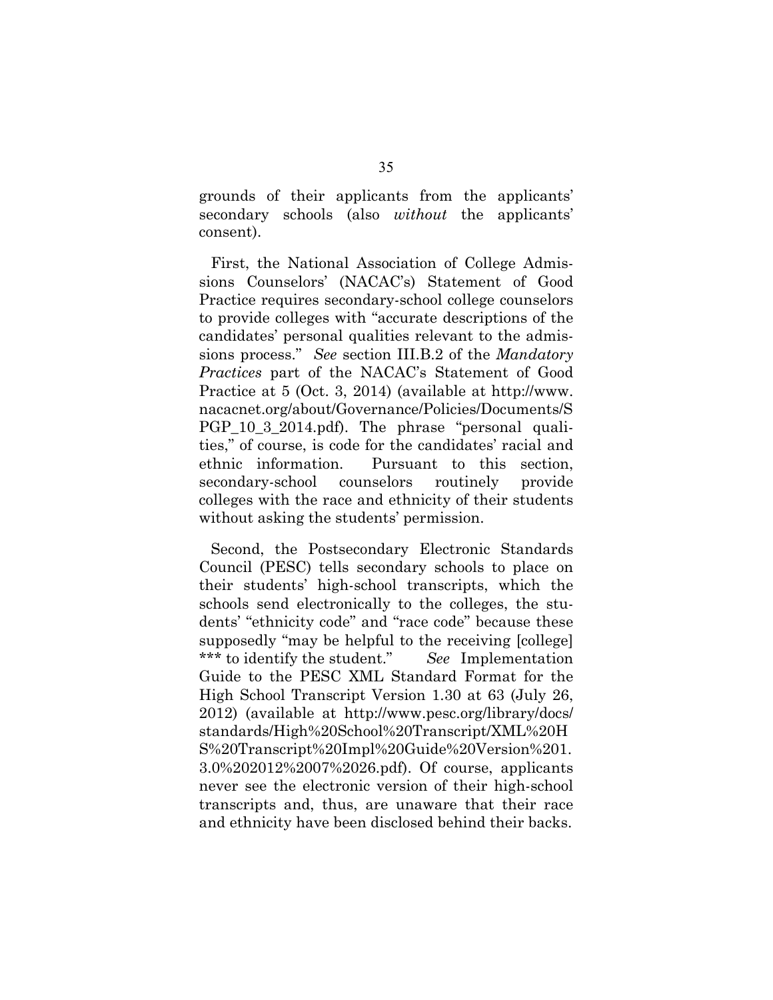grounds of their applicants from the applicants' secondary schools (also *without* the applicants' consent).

First, the National Association of College Admissions Counselors' (NACAC's) Statement of Good Practice requires secondary-school college counselors to provide colleges with "accurate descriptions of the candidates' personal qualities relevant to the admissions process." *See* section III.B.2 of the *Mandatory Practices* part of the NACAC's Statement of Good Practice at 5 (Oct. 3, 2014) (available at http://www. nacacnet.org/about/Governance/Policies/Documents/S PGP\_10\_3\_2014.pdf). The phrase "personal qualities," of course, is code for the candidates' racial and ethnic information. Pursuant to this section, secondary-school counselors routinely provide colleges with the race and ethnicity of their students without asking the students' permission.

Second, the Postsecondary Electronic Standards Council (PESC) tells secondary schools to place on their students' high-school transcripts, which the schools send electronically to the colleges, the students' "ethnicity code" and "race code" because these supposedly "may be helpful to the receiving [college] \*\*\* to identify the student." *See* Implementation Guide to the PESC XML Standard Format for the High School Transcript Version 1.30 at 63 (July 26, 2012) (available at http://www.pesc.org/library/docs/ standards/High%20School%20Transcript/XML%20H S%20Transcript%20Impl%20Guide%20Version%201. 3.0%202012%2007%2026.pdf). Of course, applicants never see the electronic version of their high-school transcripts and, thus, are unaware that their race and ethnicity have been disclosed behind their backs.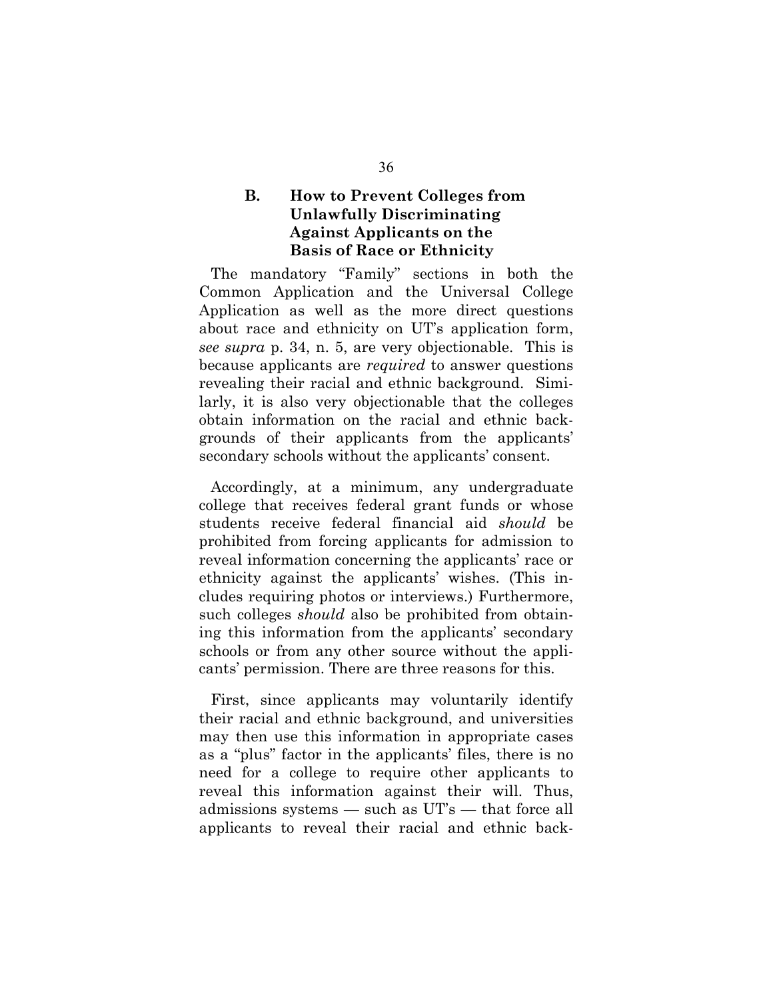# **B. How to Prevent Colleges from Unlawfully Discriminating Against Applicants on the Basis of Race or Ethnicity**

The mandatory "Family" sections in both the Common Application and the Universal College Application as well as the more direct questions about race and ethnicity on UT's application form, *see supra* p. 34, n. 5, are very objectionable. This is because applicants are *required* to answer questions revealing their racial and ethnic background. Similarly, it is also very objectionable that the colleges obtain information on the racial and ethnic backgrounds of their applicants from the applicants' secondary schools without the applicants' consent.

Accordingly, at a minimum, any undergraduate college that receives federal grant funds or whose students receive federal financial aid *should* be prohibited from forcing applicants for admission to reveal information concerning the applicants' race or ethnicity against the applicants' wishes. (This includes requiring photos or interviews.) Furthermore, such colleges *should* also be prohibited from obtaining this information from the applicants' secondary schools or from any other source without the applicants' permission. There are three reasons for this.

First, since applicants may voluntarily identify their racial and ethnic background, and universities may then use this information in appropriate cases as a "plus" factor in the applicants' files, there is no need for a college to require other applicants to reveal this information against their will. Thus, admissions systems — such as UT's — that force all applicants to reveal their racial and ethnic back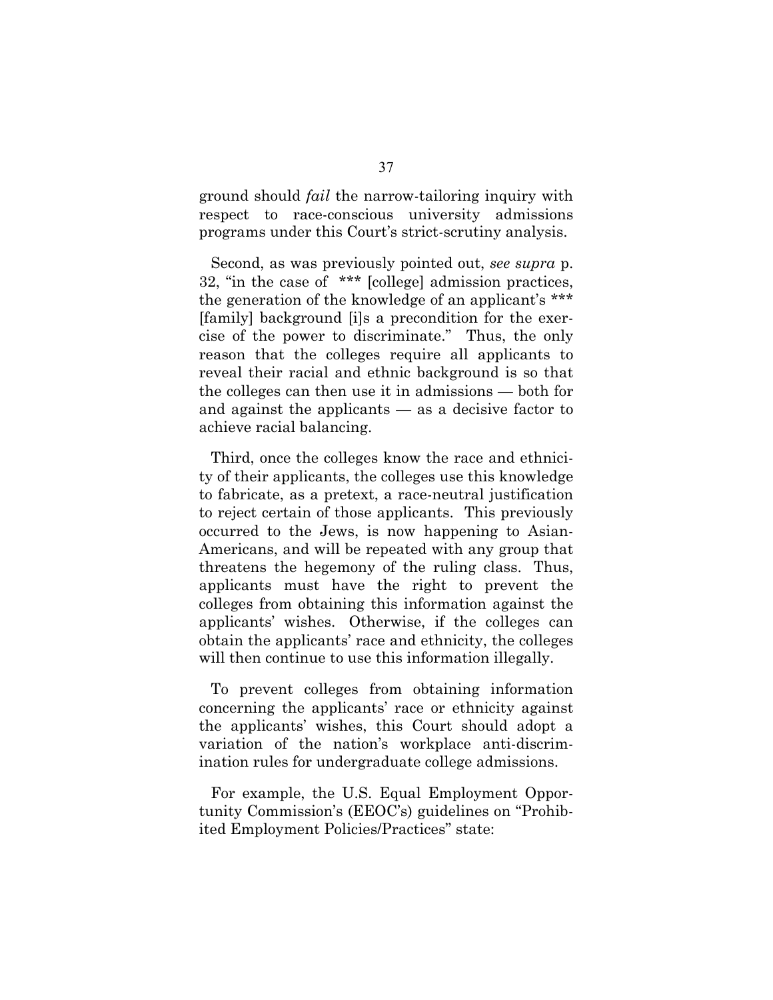ground should *fail* the narrow-tailoring inquiry with respect to race-conscious university admissions programs under this Court's strict-scrutiny analysis.

Second, as was previously pointed out, *see supra* p. 32, "in the case of \*\*\* [college] admission practices, the generation of the knowledge of an applicant's \*\*\* [family] background [i]s a precondition for the exercise of the power to discriminate." Thus, the only reason that the colleges require all applicants to reveal their racial and ethnic background is so that the colleges can then use it in admissions — both for and against the applicants — as a decisive factor to achieve racial balancing.

Third, once the colleges know the race and ethnicity of their applicants, the colleges use this knowledge to fabricate, as a pretext, a race-neutral justification to reject certain of those applicants. This previously occurred to the Jews, is now happening to Asian-Americans, and will be repeated with any group that threatens the hegemony of the ruling class. Thus, applicants must have the right to prevent the colleges from obtaining this information against the applicants' wishes. Otherwise, if the colleges can obtain the applicants' race and ethnicity, the colleges will then continue to use this information illegally.

To prevent colleges from obtaining information concerning the applicants' race or ethnicity against the applicants' wishes, this Court should adopt a variation of the nation's workplace anti-discrimination rules for undergraduate college admissions.

For example, the U.S. Equal Employment Opportunity Commission's (EEOC's) guidelines on "Prohibited Employment Policies/Practices" state: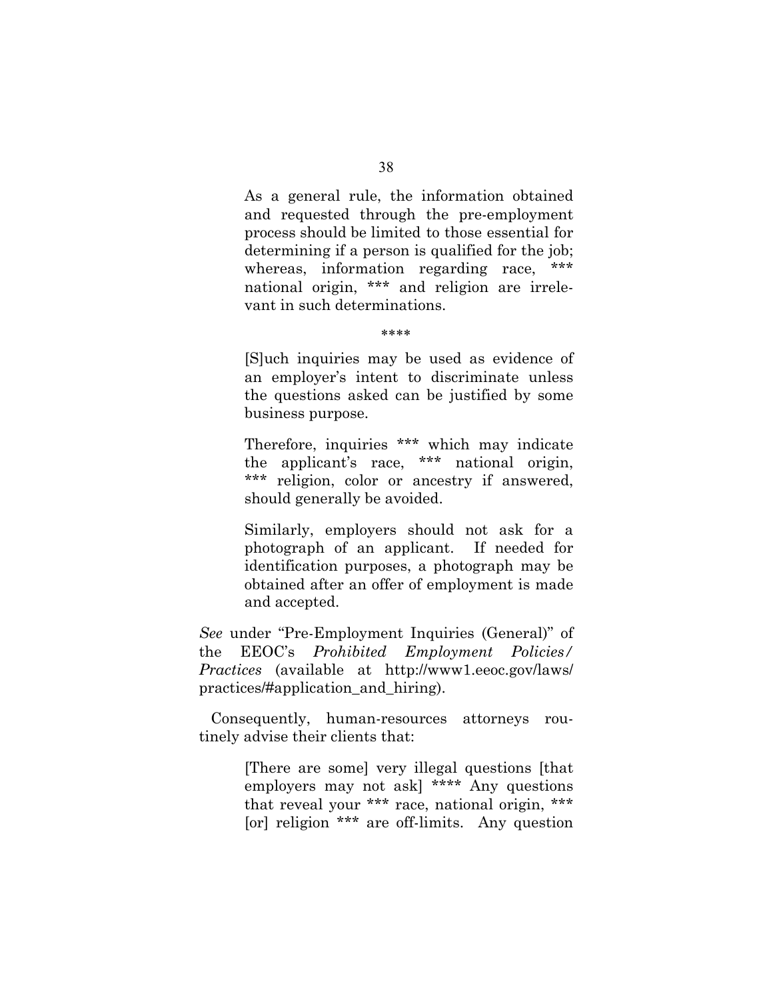As a general rule, the information obtained and requested through the pre-employment process should be limited to those essential for determining if a person is qualified for the job; whereas, information regarding race, \*\*\* national origin, \*\*\* and religion are irrelevant in such determinations.

\*\*\*\*

[S]uch inquiries may be used as evidence of an employer's intent to discriminate unless the questions asked can be justified by some business purpose.

Therefore, inquiries \*\*\* which may indicate the applicant's race, \*\*\* national origin, \*\*\* religion, color or ancestry if answered, should generally be avoided.

Similarly, employers should not ask for a photograph of an applicant. If needed for identification purposes, a photograph may be obtained after an offer of employment is made and accepted.

*See* under "Pre-Employment Inquiries (General)" of the EEOC's *Prohibited Employment Policies/ Practices* (available at http://www1.eeoc.gov/laws/ practices/#application\_and\_hiring).

Consequently, human-resources attorneys routinely advise their clients that:

> [There are some] very illegal questions [that employers may not ask] \*\*\*\* Any questions that reveal your \*\*\* race, national origin, \*\*\* [or] religion \*\*\* are off-limits. Any question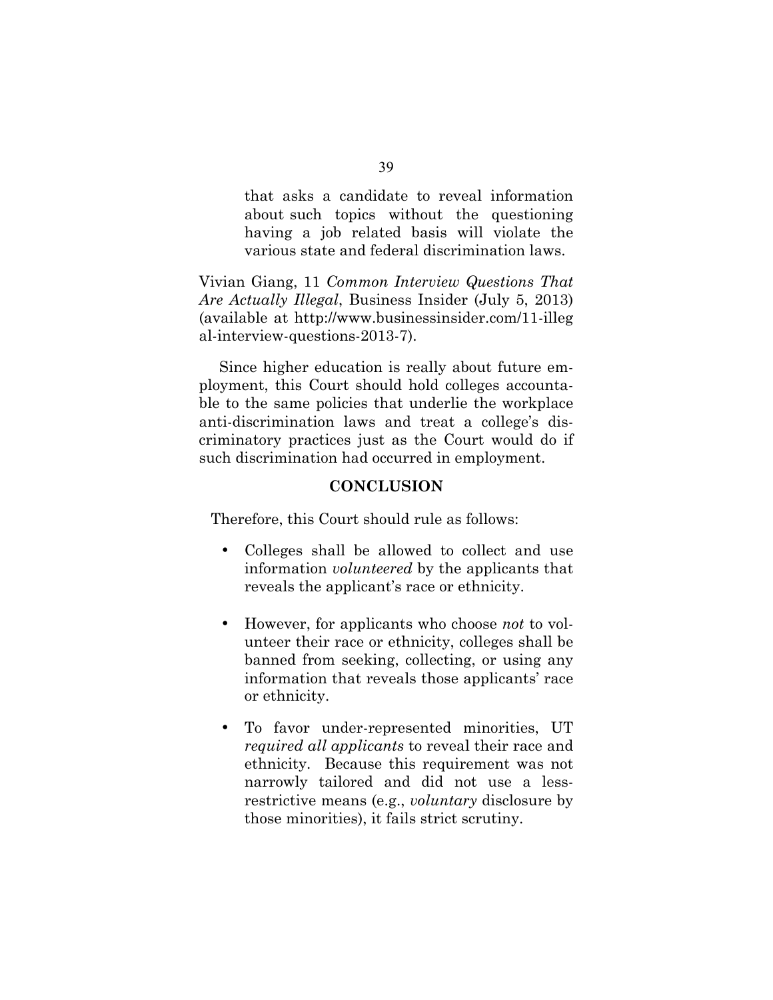that asks a candidate to reveal information about such topics without the questioning having a job related basis will violate the various state and federal discrimination laws.

Vivian Giang, 11 *Common Interview Questions That Are Actually Illegal*, Business Insider (July 5, 2013) (available at http://www.businessinsider.com/11-illeg al-interview-questions-2013-7).

 Since higher education is really about future employment, this Court should hold colleges accountable to the same policies that underlie the workplace anti-discrimination laws and treat a college's discriminatory practices just as the Court would do if such discrimination had occurred in employment.

## **CONCLUSION**

Therefore, this Court should rule as follows:

- Colleges shall be allowed to collect and use information *volunteered* by the applicants that reveals the applicant's race or ethnicity.
- However, for applicants who choose *not* to volunteer their race or ethnicity, colleges shall be banned from seeking, collecting, or using any information that reveals those applicants' race or ethnicity.
- To favor under-represented minorities, UT *required all applicants* to reveal their race and ethnicity. Because this requirement was not narrowly tailored and did not use a lessrestrictive means (e.g., *voluntary* disclosure by those minorities), it fails strict scrutiny.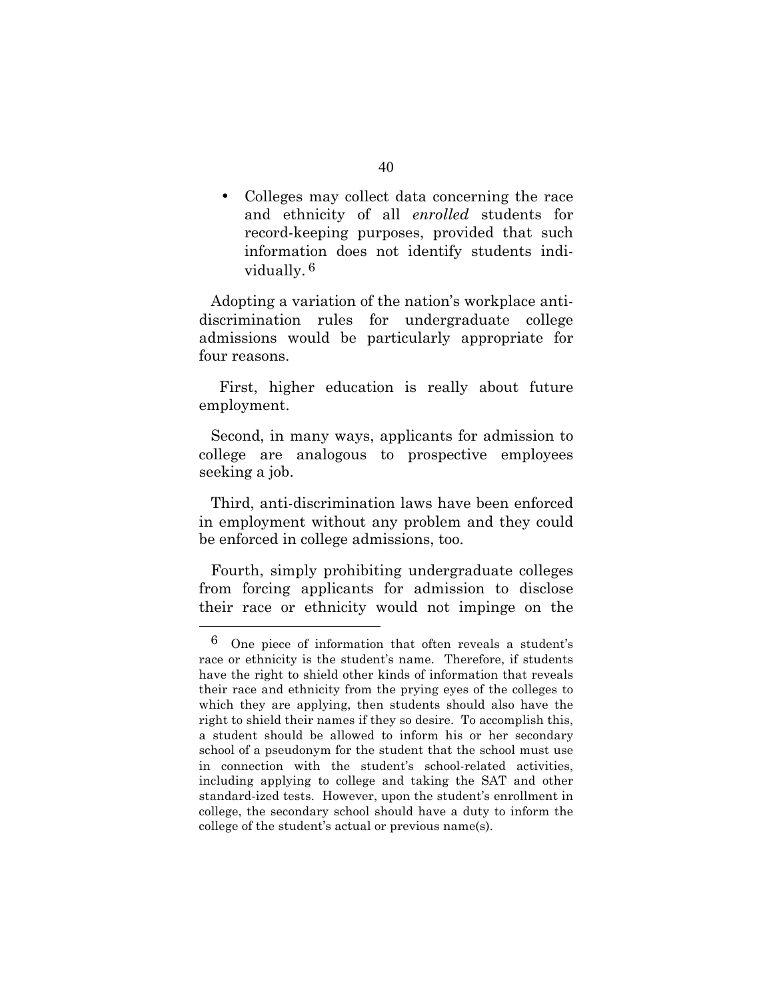• Colleges may collect data concerning the race and ethnicity of all *enrolled* students for record-keeping purposes, provided that such information does not identify students individually. 6

Adopting a variation of the nation's workplace antidiscrimination rules for undergraduate college admissions would be particularly appropriate for four reasons.

 First, higher education is really about future employment.

Second, in many ways, applicants for admission to college are analogous to prospective employees seeking a job.

Third, anti-discrimination laws have been enforced in employment without any problem and they could be enforced in college admissions, too.

Fourth, simply prohibiting undergraduate colleges from forcing applicants for admission to disclose their race or ethnicity would not impinge on the

 $\overline{a}$ 

<sup>6</sup> One piece of information that often reveals a student's race or ethnicity is the student's name. Therefore, if students have the right to shield other kinds of information that reveals their race and ethnicity from the prying eyes of the colleges to which they are applying, then students should also have the right to shield their names if they so desire. To accomplish this, a student should be allowed to inform his or her secondary school of a pseudonym for the student that the school must use in connection with the student's school-related activities, including applying to college and taking the SAT and other standard-ized tests. However, upon the student's enrollment in college, the secondary school should have a duty to inform the college of the student's actual or previous name(s).